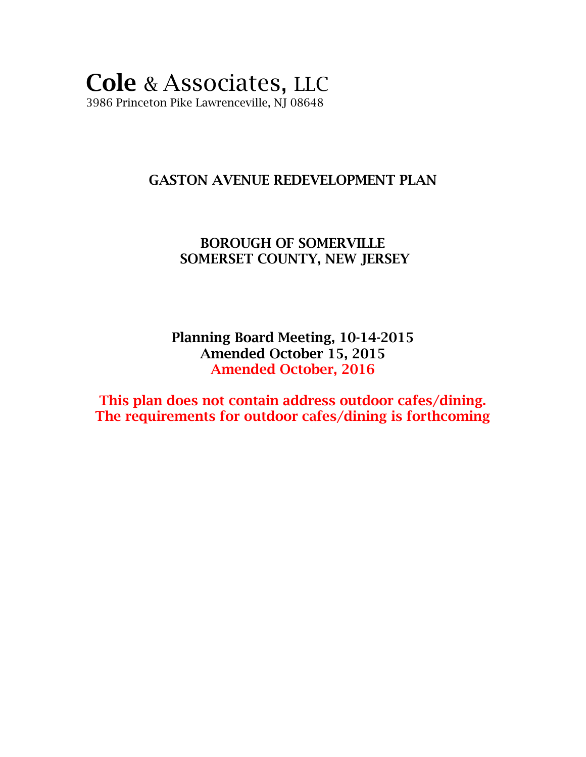### **Cole** & Associates, LLC 3986 Princeton Pike Lawrenceville, NJ 08648

### **GASTON AVENUE REDEVELOPMENT PLAN**

### **BOROUGH OF SOMERVILLE SOMERSET COUNTY, NEW JERSEY**

**Planning Board Meeting, 10-14-2015 Amended October 15, 2015 Amended October, 2016** 

**This plan does not contain address outdoor cafes/dining. The requirements for outdoor cafes/dining is forthcoming**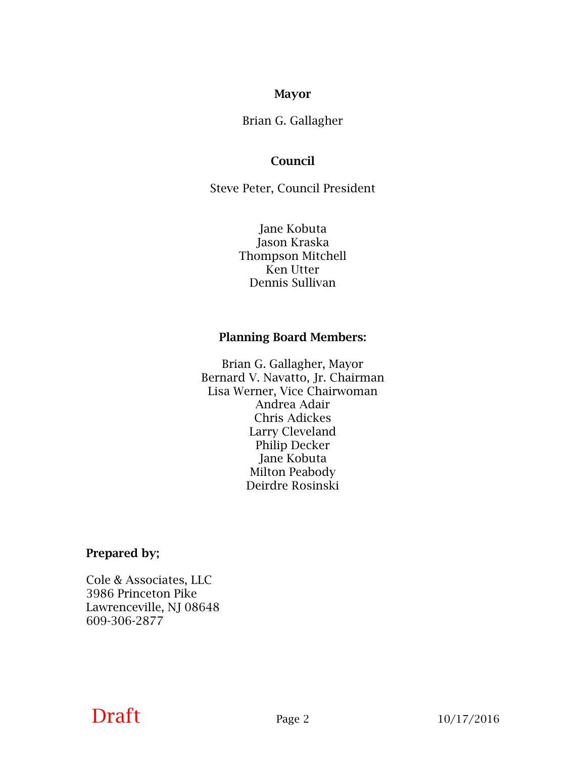#### **Mayor**

Brian G. Gallagher

#### **Council**

Steve Peter, Council President

Jane Kobuta Jason Kraska Thompson Mitchell Ken Utter Dennis Sullivan

#### **Planning Board Members:**

Brian G. Gallagher, Mayor Bernard V. Navatto, Jr. Chairman Lisa Werner, Vice Chairwoman Andrea Adair Chris Adickes Larry Cleveland Philip Decker Jane Kobuta Milton Peabody Deirdre Rosinski

**Prepared by;**

Cole & Associates, LLC 3986 Princeton Pike Lawrenceville, NJ 08648 609-306-2877

### **Draft** Page 2 10/17/2016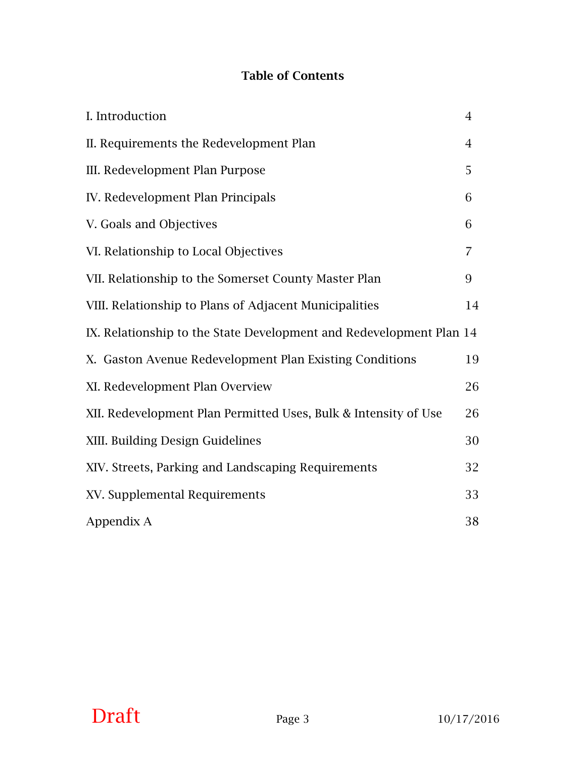### **Table of Contents**

| I. Introduction                                                     | $\overline{4}$ |
|---------------------------------------------------------------------|----------------|
| II. Requirements the Redevelopment Plan                             | $\overline{4}$ |
| III. Redevelopment Plan Purpose                                     | 5              |
| IV. Redevelopment Plan Principals                                   | 6              |
| V. Goals and Objectives                                             | 6              |
| VI. Relationship to Local Objectives                                | 7              |
| VII. Relationship to the Somerset County Master Plan                | 9              |
| VIII. Relationship to Plans of Adjacent Municipalities              | 14             |
| IX. Relationship to the State Development and Redevelopment Plan 14 |                |
| X. Gaston Avenue Redevelopment Plan Existing Conditions             | 19             |
| XI. Redevelopment Plan Overview                                     | 26             |
| XII. Redevelopment Plan Permitted Uses, Bulk & Intensity of Use     | 26             |
| XIII. Building Design Guidelines                                    | 30             |
| XIV. Streets, Parking and Landscaping Requirements                  | 32             |
| XV. Supplemental Requirements                                       | 33             |
| Appendix A                                                          | 38             |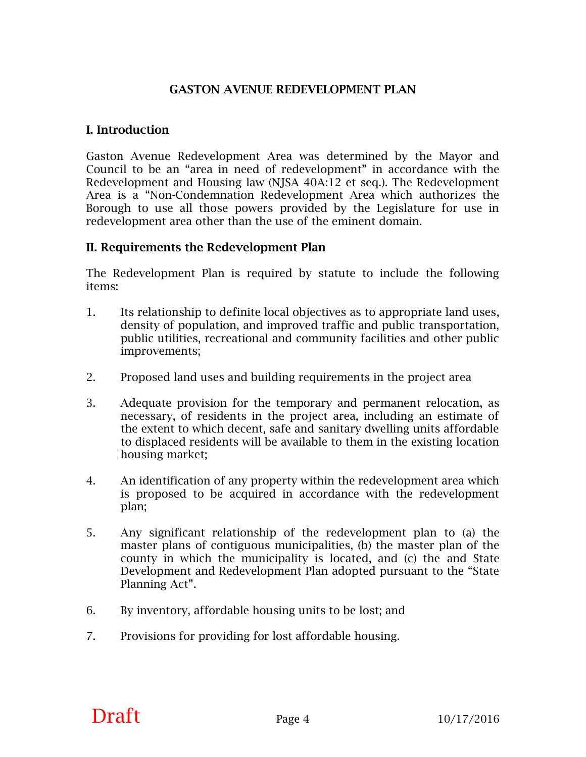#### **GASTON AVENUE REDEVELOPMENT PLAN**

#### **I. Introduction**

Gaston Avenue Redevelopment Area was determined by the Mayor and Council to be an "area in need of redevelopment" in accordance with the Redevelopment and Housing law (NJSA 40A:12 et seq.). The Redevelopment Area is a "Non-Condemnation Redevelopment Area which authorizes the Borough to use all those powers provided by the Legislature for use in redevelopment area other than the use of the eminent domain.

#### **II. Requirements the Redevelopment Plan**

The Redevelopment Plan is required by statute to include the following items:

- 1. Its relationship to definite local objectives as to appropriate land uses, density of population, and improved traffic and public transportation, public utilities, recreational and community facilities and other public improvements;
- 2. Proposed land uses and building requirements in the project area
- 3. Adequate provision for the temporary and permanent relocation, as necessary, of residents in the project area, including an estimate of the extent to which decent, safe and sanitary dwelling units affordable to displaced residents will be available to them in the existing location housing market;
- 4. An identification of any property within the redevelopment area which is proposed to be acquired in accordance with the redevelopment plan;
- 5. Any significant relationship of the redevelopment plan to (a) the master plans of contiguous municipalities, (b) the master plan of the county in which the municipality is located, and (c) the and State Development and Redevelopment Plan adopted pursuant to the "State Planning Act".
- 6. By inventory, affordable housing units to be lost; and
- 7. Provisions for providing for lost affordable housing.

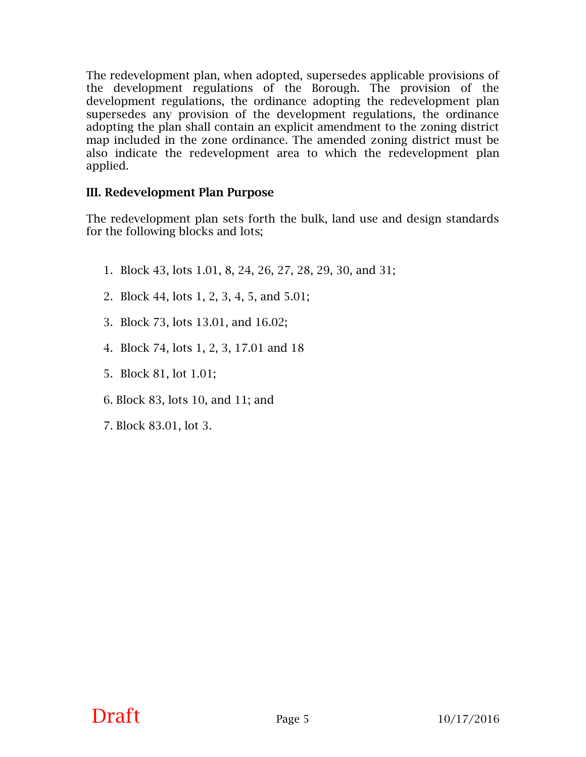The redevelopment plan, when adopted, supersedes applicable provisions of the development regulations of the Borough. The provision of the development regulations, the ordinance adopting the redevelopment plan supersedes any provision of the development regulations, the ordinance adopting the plan shall contain an explicit amendment to the zoning district map included in the zone ordinance. The amended zoning district must be also indicate the redevelopment area to which the redevelopment plan applied.

#### **III. Redevelopment Plan Purpose**

The redevelopment plan sets forth the bulk, land use and design standards for the following blocks and lots;

- 1. Block 43, lots 1.01, 8, 24, 26, 27, 28, 29, 30, and 31;
- 2. Block 44, lots 1, 2, 3, 4, 5, and 5.01;
- 3. Block 73, lots 13.01, and 16.02;
- 4. Block 74, lots 1, 2, 3, 17.01 and 18
- 5. Block 81, lot 1.01;
- 6. Block 83, lots 10, and 11; and
- 7. Block 83.01, lot 3.

# **Draft** Page 5  $10/17/2016$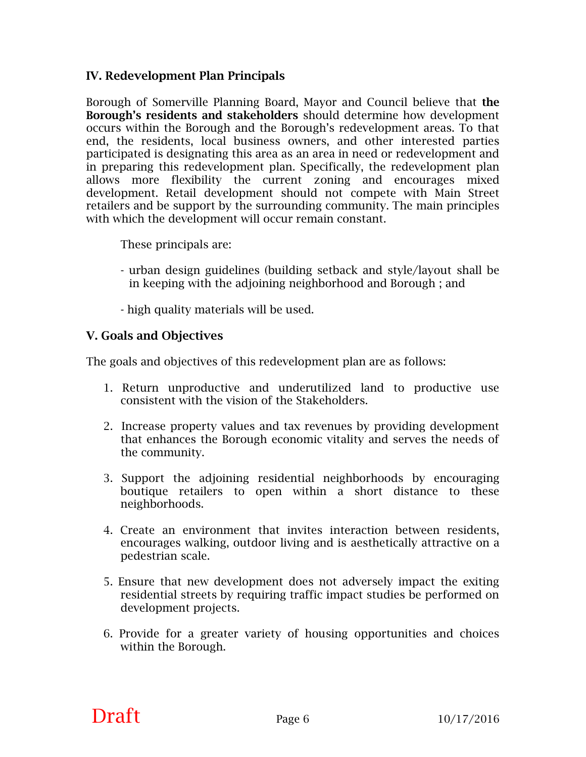#### **IV. Redevelopment Plan Principals**

Borough of Somerville Planning Board, Mayor and Council believe that **the Borough's residents and stakeholders** should determine how development occurs within the Borough and the Borough's redevelopment areas. To that end, the residents, local business owners, and other interested parties participated is designating this area as an area in need or redevelopment and in preparing this redevelopment plan. Specifically, the redevelopment plan allows more flexibility the current zoning and encourages mixed development. Retail development should not compete with Main Street retailers and be support by the surrounding community. The main principles with which the development will occur remain constant.

These principals are:

- urban design guidelines (building setback and style/layout shall be in keeping with the adjoining neighborhood and Borough ; and
- high quality materials will be used.

#### **V. Goals and Objectives**

The goals and objectives of this redevelopment plan are as follows:

- 1. Return unproductive and underutilized land to productive use consistent with the vision of the Stakeholders.
- 2. Increase property values and tax revenues by providing development that enhances the Borough economic vitality and serves the needs of the community.
- 3. Support the adjoining residential neighborhoods by encouraging boutique retailers to open within a short distance to these neighborhoods.
- 4. Create an environment that invites interaction between residents, encourages walking, outdoor living and is aesthetically attractive on a pedestrian scale.
- 5. Ensure that new development does not adversely impact the exiting residential streets by requiring traffic impact studies be performed on development projects.
- 6. Provide for a greater variety of housing opportunities and choices within the Borough.

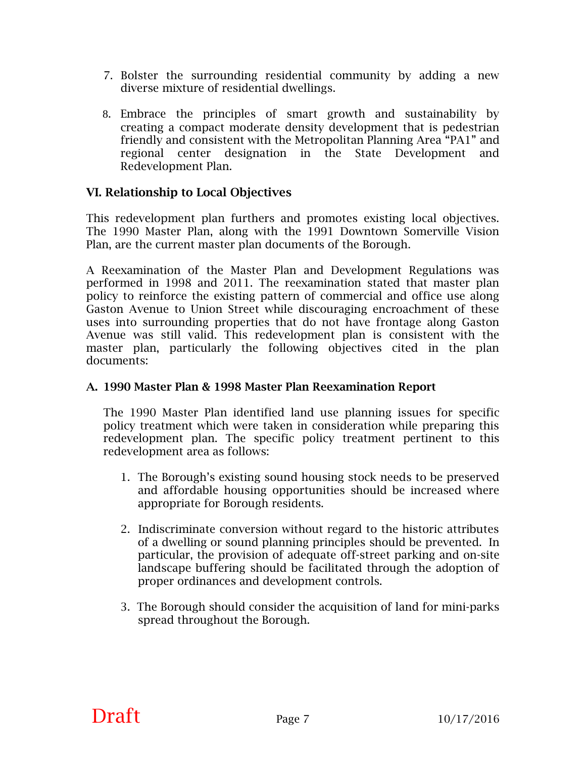- 7. Bolster the surrounding residential community by adding a new diverse mixture of residential dwellings.
- 8. Embrace the principles of smart growth and sustainability by creating a compact moderate density development that is pedestrian friendly and consistent with the Metropolitan Planning Area "PA1" and regional center designation in the State Development and Redevelopment Plan.

#### **VI. Relationship to Local Objectives**

This redevelopment plan furthers and promotes existing local objectives. The 1990 Master Plan, along with the 1991 Downtown Somerville Vision Plan, are the current master plan documents of the Borough.

A Reexamination of the Master Plan and Development Regulations was performed in 1998 and 2011. The reexamination stated that master plan policy to reinforce the existing pattern of commercial and office use along Gaston Avenue to Union Street while discouraging encroachment of these uses into surrounding properties that do not have frontage along Gaston Avenue was still valid. This redevelopment plan is consistent with the master plan, particularly the following objectives cited in the plan documents:

#### **A. 1990 Master Plan & 1998 Master Plan Reexamination Report**

The 1990 Master Plan identified land use planning issues for specific policy treatment which were taken in consideration while preparing this redevelopment plan. The specific policy treatment pertinent to this redevelopment area as follows:

- 1. The Borough's existing sound housing stock needs to be preserved and affordable housing opportunities should be increased where appropriate for Borough residents.
- 2. Indiscriminate conversion without regard to the historic attributes of a dwelling or sound planning principles should be prevented. In particular, the provision of adequate off-street parking and on-site landscape buffering should be facilitated through the adoption of proper ordinances and development controls.
- 3. The Borough should consider the acquisition of land for mini-parks spread throughout the Borough.

### **Draft** Page 7  $10/17/2016$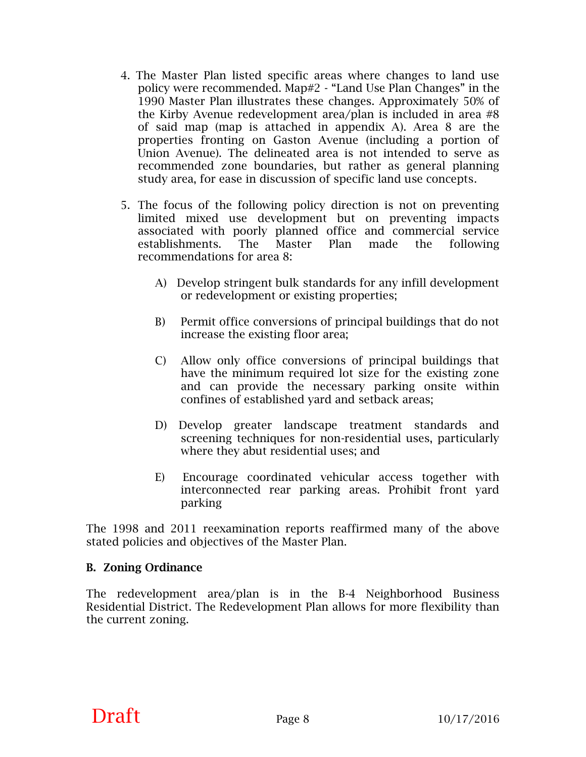- 4. The Master Plan listed specific areas where changes to land use policy were recommended. Map#2 - "Land Use Plan Changes" in the 1990 Master Plan illustrates these changes. Approximately 50% of the Kirby Avenue redevelopment area/plan is included in area #8 of said map (map is attached in appendix A). Area 8 are the properties fronting on Gaston Avenue (including a portion of Union Avenue). The delineated area is not intended to serve as recommended zone boundaries, but rather as general planning study area, for ease in discussion of specific land use concepts.
- 5. The focus of the following policy direction is not on preventing limited mixed use development but on preventing impacts associated with poorly planned office and commercial service establishments. The Master Plan made the following recommendations for area 8:
	- A) Develop stringent bulk standards for any infill development or redevelopment or existing properties;
	- B) Permit office conversions of principal buildings that do not increase the existing floor area;
	- C) Allow only office conversions of principal buildings that have the minimum required lot size for the existing zone and can provide the necessary parking onsite within confines of established yard and setback areas;
	- D) Develop greater landscape treatment standards and screening techniques for non-residential uses, particularly where they abut residential uses; and
	- E) Encourage coordinated vehicular access together with interconnected rear parking areas. Prohibit front yard parking

The 1998 and 2011 reexamination reports reaffirmed many of the above stated policies and objectives of the Master Plan.

#### **B. Zoning Ordinance**

The redevelopment area/plan is in the B-4 Neighborhood Business Residential District. The Redevelopment Plan allows for more flexibility than the current zoning.

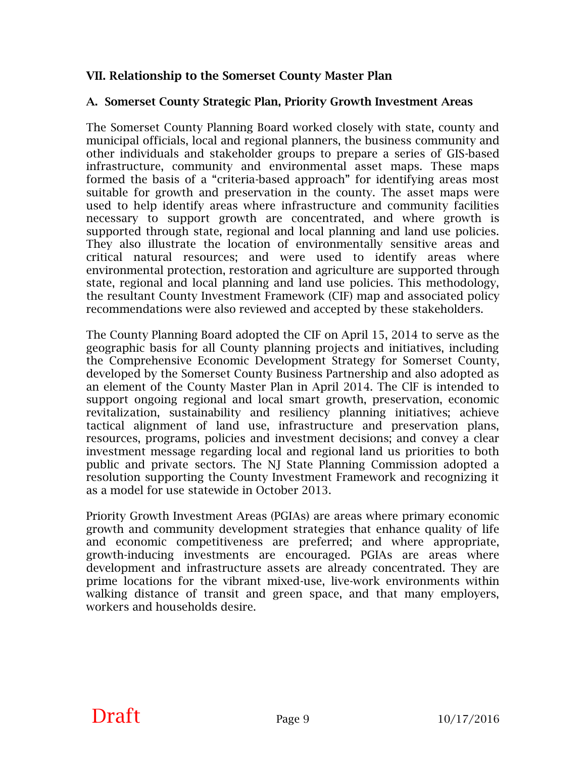#### **VII. Relationship to the Somerset County Master Plan**

#### **A. Somerset County Strategic Plan, Priority Growth Investment Areas**

The Somerset County Planning Board worked closely with state, county and municipal officials, local and regional planners, the business community and other individuals and stakeholder groups to prepare a series of GIS-based infrastructure, community and environmental asset maps. These maps formed the basis of a "criteria-based approach" for identifying areas most suitable for growth and preservation in the county. The asset maps were used to help identify areas where infrastructure and community facilities necessary to support growth are concentrated, and where growth is supported through state, regional and local planning and land use policies. They also illustrate the location of environmentally sensitive areas and critical natural resources; and were used to identify areas where environmental protection, restoration and agriculture are supported through state, regional and local planning and land use policies. This methodology, the resultant County Investment Framework (CIF) map and associated policy recommendations were also reviewed and accepted by these stakeholders.

The County Planning Board adopted the CIF on April 15, 2014 to serve as the geographic basis for all County planning projects and initiatives, including the Comprehensive Economic Development Strategy for Somerset County, developed by the Somerset County Business Partnership and also adopted as an element of the County Master Plan in April 2014. The ClF is intended to support ongoing regional and local smart growth, preservation, economic revitalization, sustainability and resiliency planning initiatives; achieve tactical alignment of land use, infrastructure and preservation plans, resources, programs, policies and investment decisions; and convey a clear investment message regarding local and regional land us priorities to both public and private sectors. The NJ State Planning Commission adopted a resolution supporting the County Investment Framework and recognizing it as a model for use statewide in October 2013.

Priority Growth Investment Areas (PGIAs) are areas where primary economic growth and community development strategies that enhance quality of life and economic competitiveness are preferred; and where appropriate, growth-inducing investments are encouraged. PGIAs are areas where development and infrastructure assets are already concentrated. They are prime locations for the vibrant mixed-use, live-work environments within walking distance of transit and green space, and that many employers, workers and households desire.

# **Draft** Page 9  $10/17/2016$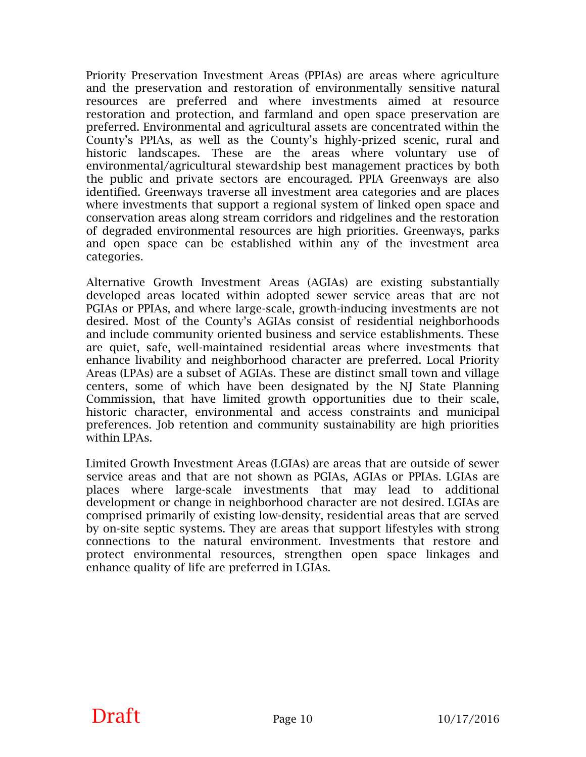Priority Preservation Investment Areas (PPIAs) are areas where agriculture and the preservation and restoration of environmentally sensitive natural resources are preferred and where investments aimed at resource restoration and protection, and farmland and open space preservation are preferred. Environmental and agricultural assets are concentrated within the County's PPIAs, as well as the County's highly-prized scenic, rural and historic landscapes. These are the areas where voluntary use of environmental/agricultural stewardship best management practices by both the public and private sectors are encouraged. PPIA Greenways are also identified. Greenways traverse all investment area categories and are places where investments that support a regional system of linked open space and conservation areas along stream corridors and ridgelines and the restoration of degraded environmental resources are high priorities. Greenways, parks and open space can be established within any of the investment area categories.

Alternative Growth Investment Areas (AGIAs) are existing substantially developed areas located within adopted sewer service areas that are not PGIAs or PPIAs, and where large-scale, growth-inducing investments are not desired. Most of the County's AGIAs consist of residential neighborhoods and include community oriented business and service establishments. These are quiet, safe, well-maintained residential areas where investments that enhance livability and neighborhood character are preferred. Local Priority Areas (LPAs) are a subset of AGIAs. These are distinct small town and village centers, some of which have been designated by the NJ State Planning Commission, that have limited growth opportunities due to their scale, historic character, environmental and access constraints and municipal preferences. Job retention and community sustainability are high priorities within LPAs.

Limited Growth Investment Areas (LGIAs) are areas that are outside of sewer service areas and that are not shown as PGIAs, AGIAs or PPIAs. LGIAs are places where large-scale investments that may lead to additional development or change in neighborhood character are not desired. LGIAs are comprised primarily of existing low-density, residential areas that are served by on-site septic systems. They are areas that support lifestyles with strong connections to the natural environment. Investments that restore and protect environmental resources, strengthen open space linkages and enhance quality of life are preferred in LGIAs.

**Draft** Page 10  $P$  10/17/2016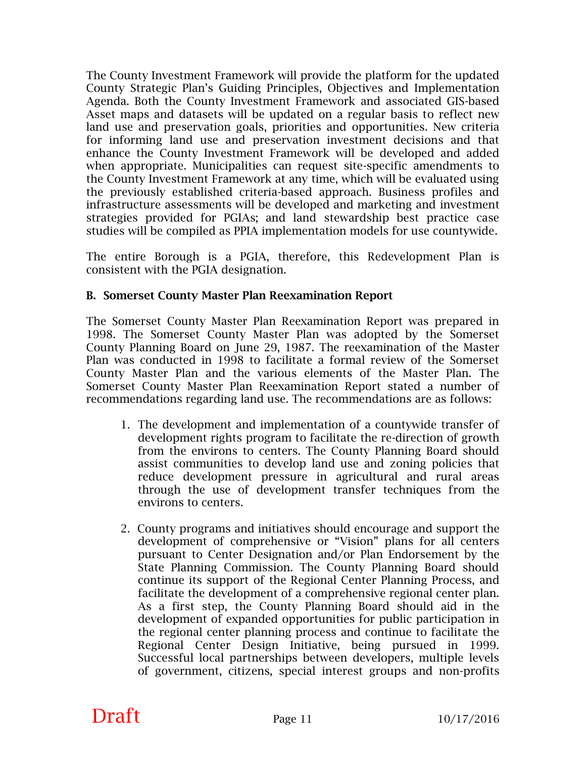The County Investment Framework will provide the platform for the updated County Strategic Plan's Guiding Principles, Objectives and Implementation Agenda. Both the County Investment Framework and associated GIS-based Asset maps and datasets will be updated on a regular basis to reflect new land use and preservation goals, priorities and opportunities. New criteria for informing land use and preservation investment decisions and that enhance the County Investment Framework will be developed and added when appropriate. Municipalities can request site-specific amendments to the County Investment Framework at any time, which will be evaluated using the previously established criteria-based approach. Business profiles and infrastructure assessments will be developed and marketing and investment strategies provided for PGIAs; and land stewardship best practice case studies will be compiled as PPIA implementation models for use countywide.

The entire Borough is a PGIA, therefore, this Redevelopment Plan is consistent with the PGIA designation.

#### **B. Somerset County Master Plan Reexamination Report**

The Somerset County Master Plan Reexamination Report was prepared in 1998. The Somerset County Master Plan was adopted by the Somerset County Planning Board on June 29, 1987. The reexamination of the Master Plan was conducted in 1998 to facilitate a formal review of the Somerset County Master Plan and the various elements of the Master Plan. The Somerset County Master Plan Reexamination Report stated a number of recommendations regarding land use. The recommendations are as follows:

- 1. The development and implementation of a countywide transfer of development rights program to facilitate the re-direction of growth from the environs to centers. The County Planning Board should assist communities to develop land use and zoning policies that reduce development pressure in agricultural and rural areas through the use of development transfer techniques from the environs to centers.
- 2. County programs and initiatives should encourage and support the development of comprehensive or "Vision" plans for all centers pursuant to Center Designation and/or Plan Endorsement by the State Planning Commission. The County Planning Board should continue its support of the Regional Center Planning Process, and facilitate the development of a comprehensive regional center plan. As a first step, the County Planning Board should aid in the development of expanded opportunities for public participation in the regional center planning process and continue to facilitate the Regional Center Design Initiative, being pursued in 1999. Successful local partnerships between developers, multiple levels of government, citizens, special interest groups and non-profits

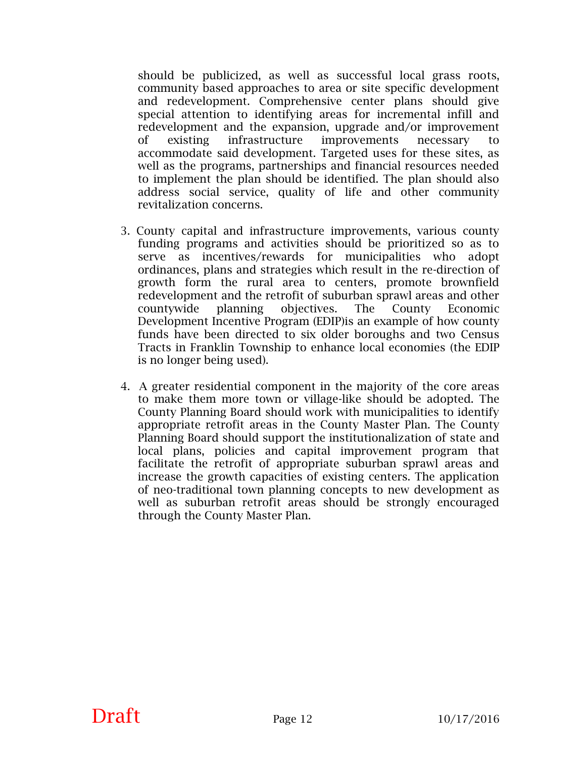should be publicized, as well as successful local grass roots, community based approaches to area or site specific development and redevelopment. Comprehensive center plans should give special attention to identifying areas for incremental infill and redevelopment and the expansion, upgrade and/or improvement of existing infrastructure improvements necessary to accommodate said development. Targeted uses for these sites, as well as the programs, partnerships and financial resources needed to implement the plan should be identified. The plan should also address social service, quality of life and other community revitalization concerns.

- 3. County capital and infrastructure improvements, various county funding programs and activities should be prioritized so as to serve as incentives/rewards for municipalities who adopt ordinances, plans and strategies which result in the re-direction of growth form the rural area to centers, promote brownfield redevelopment and the retrofit of suburban sprawl areas and other countywide planning objectives. The County Economic Development Incentive Program (EDIP)is an example of how county funds have been directed to six older boroughs and two Census Tracts in Franklin Township to enhance local economies (the EDIP is no longer being used).
- 4. A greater residential component in the majority of the core areas to make them more town or village-like should be adopted. The County Planning Board should work with municipalities to identify appropriate retrofit areas in the County Master Plan. The County Planning Board should support the institutionalization of state and local plans, policies and capital improvement program that facilitate the retrofit of appropriate suburban sprawl areas and increase the growth capacities of existing centers. The application of neo-traditional town planning concepts to new development as well as suburban retrofit areas should be strongly encouraged through the County Master Plan.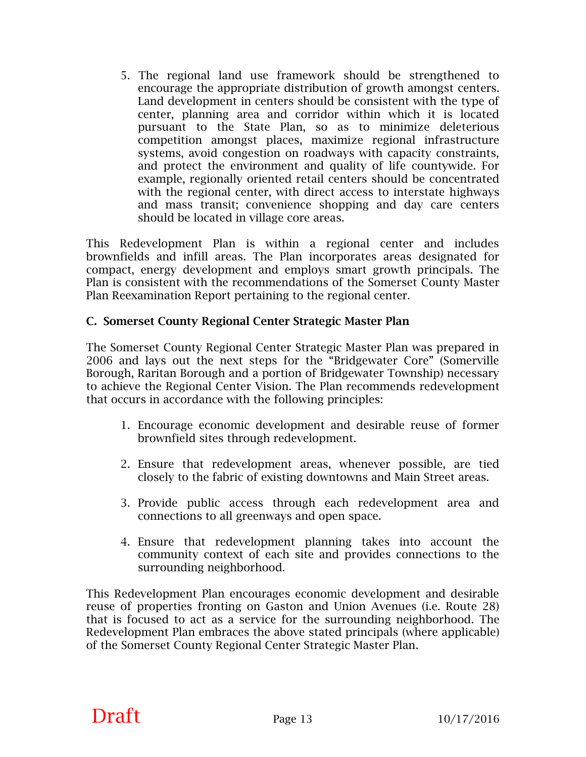5. The regional land use framework should be strengthened to encourage the appropriate distribution of growth amongst centers. Land development in centers should be consistent with the type of center, planning area and corridor within which it is located pursuant to the State Plan, so as to minimize deleterious competition amongst places, maximize regional infrastructure systems, avoid congestion on roadways with capacity constraints, and protect the environment and quality of life countywide. For example, regionally oriented retail centers should be concentrated with the regional center, with direct access to interstate highways and mass transit; convenience shopping and day care centers should be located in village core areas.

This Redevelopment Plan is within a regional center and includes brownfields and infill areas. The Plan incorporates areas designated for compact, energy development and employs smart growth principals. The Plan is consistent with the recommendations of the Somerset County Master Plan Reexamination Report pertaining to the regional center.

#### **C. Somerset County Regional Center Strategic Master Plan**

The Somerset County Regional Center Strategic Master Plan was prepared in 2006 and lays out the next steps for the "Bridgewater Core" (Somerville Borough, Raritan Borough and a portion of Bridgewater Township) necessary to achieve the Regional Center Vision. The Plan recommends redevelopment that occurs in accordance with the following principles:

- 1. Encourage economic development and desirable reuse of former brownfield sites through redevelopment.
- 2. Ensure that redevelopment areas, whenever possible, are tied closely to the fabric of existing downtowns and Main Street areas.
- 3. Provide public access through each redevelopment area and connections to all greenways and open space.
- 4. Ensure that redevelopment planning takes into account the community context of each site and provides connections to the surrounding neighborhood.

This Redevelopment Plan encourages economic development and desirable reuse of properties fronting on Gaston and Union Avenues (i.e. Route 28) that is focused to act as a service for the surrounding neighborhood. The Redevelopment Plan embraces the above stated principals (where applicable) of the Somerset County Regional Center Strategic Master Plan.

# **Draft** Page 13  $10/17/2016$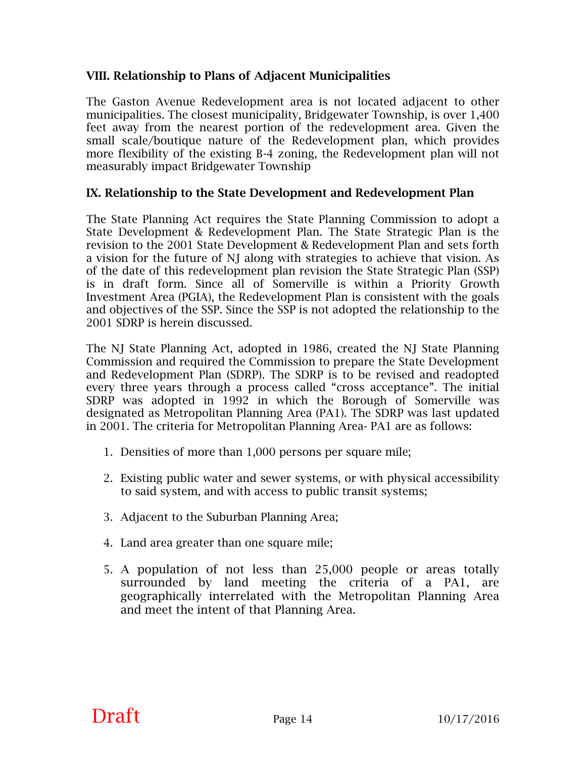#### **VIII. Relationship to Plans of Adjacent Municipalities**

The Gaston Avenue Redevelopment area is not located adjacent to other municipalities. The closest municipality, Bridgewater Township, is over 1,400 feet away from the nearest portion of the redevelopment area. Given the small scale/boutique nature of the Redevelopment plan, which provides more flexibility of the existing B-4 zoning, the Redevelopment plan will not measurably impact Bridgewater Township

#### **IX. Relationship to the State Development and Redevelopment Plan**

The State Planning Act requires the State Planning Commission to adopt a State Development & Redevelopment Plan. The State Strategic Plan is the revision to the 2001 State Development & Redevelopment Plan and sets forth a vision for the future of NJ along with strategies to achieve that vision. As of the date of this redevelopment plan revision the State Strategic Plan (SSP) is in draft form. Since all of Somerville is within a Priority Growth Investment Area (PGIA), the Redevelopment Plan is consistent with the goals and objectives of the SSP. Since the SSP is not adopted the relationship to the 2001 SDRP is herein discussed.

The NJ State Planning Act, adopted in 1986, created the NJ State Planning Commission and required the Commission to prepare the State Development and Redevelopment Plan (SDRP). The SDRP is to be revised and readopted every three years through a process called "cross acceptance". The initial SDRP was adopted in 1992 in which the Borough of Somerville was designated as Metropolitan Planning Area (PA1). The SDRP was last updated in 2001. The criteria for Metropolitan Planning Area- PA1 are as follows:

- 1. Densities of more than 1,000 persons per square mile;
- 2. Existing public water and sewer systems, or with physical accessibility to said system, and with access to public transit systems;
- 3. Adjacent to the Suburban Planning Area;
- 4. Land area greater than one square mile;
- 5. A population of not less than 25,000 people or areas totally surrounded by land meeting the criteria of a PA1, are geographically interrelated with the Metropolitan Planning Area and meet the intent of that Planning Area.

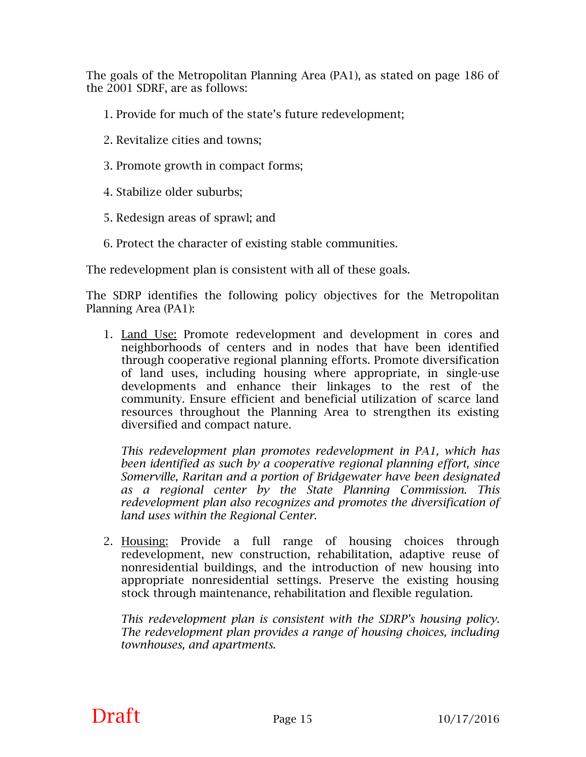The goals of the Metropolitan Planning Area (PA1), as stated on page 186 of the 2001 SDRF, are as follows:

- 1. Provide for much of the state's future redevelopment;
- 2. Revitalize cities and towns;
- 3. Promote growth in compact forms;
- 4. Stabilize older suburbs;
- 5. Redesign areas of sprawl; and
- 6. Protect the character of existing stable communities.

The redevelopment plan is consistent with all of these goals.

The SDRP identifies the following policy objectives for the Metropolitan Planning Area (PA1):

1. Land Use: Promote redevelopment and development in cores and neighborhoods of centers and in nodes that have been identified through cooperative regional planning efforts. Promote diversification of land uses, including housing where appropriate, in single-use developments and enhance their linkages to the rest of the community. Ensure efficient and beneficial utilization of scarce land resources throughout the Planning Area to strengthen its existing diversified and compact nature.

*This redevelopment plan promotes redevelopment in PA1, which has been identified as such by a cooperative regional planning effort, since Somerville, Raritan and a portion of Bridgewater have been designated as a regional center by the State Planning Commission. This redevelopment plan also recognizes and promotes the diversification of land uses within the Regional Center*.

2. Housing: Provide a full range of housing choices through redevelopment, new construction, rehabilitation, adaptive reuse of nonresidential buildings, and the introduction of new housing into appropriate nonresidential settings. Preserve the existing housing stock through maintenance, rehabilitation and flexible regulation.

*This redevelopment plan is consistent with the SDRP's housing policy. The redevelopment plan provides a range of housing choices, including townhouses, and apartments.* 

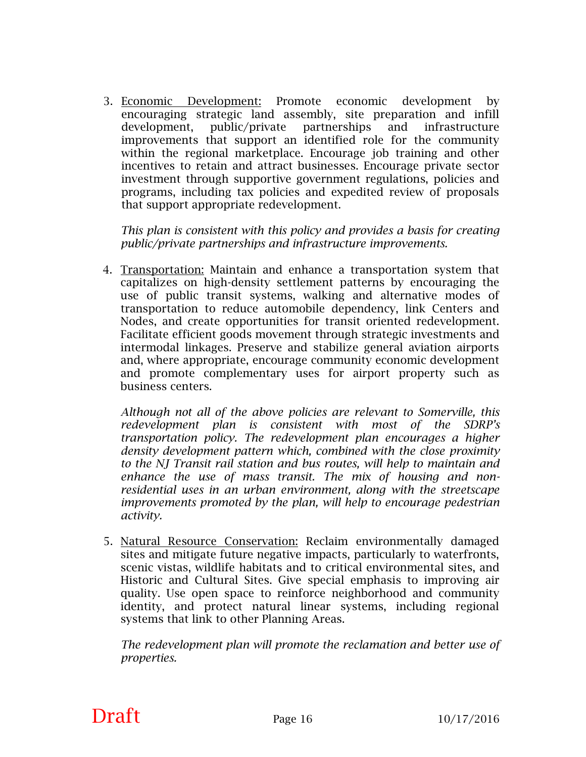3. Economic Development: Promote economic development by encouraging strategic land assembly, site preparation and infill development, public/private partnerships and infrastructure improvements that support an identified role for the community within the regional marketplace. Encourage job training and other incentives to retain and attract businesses. Encourage private sector investment through supportive government regulations, policies and programs, including tax policies and expedited review of proposals that support appropriate redevelopment.

*This plan is consistent with this policy and provides a basis for creating public/private partnerships and infrastructure improvements.*

 4. Transportation: Maintain and enhance a transportation system that capitalizes on high-density settlement patterns by encouraging the use of public transit systems, walking and alternative modes of transportation to reduce automobile dependency, link Centers and Nodes, and create opportunities for transit oriented redevelopment. Facilitate efficient goods movement through strategic investments and intermodal linkages. Preserve and stabilize general aviation airports and, where appropriate, encourage community economic development and promote complementary uses for airport property such as business centers.

*Although not all of the above policies are relevant to Somerville, this redevelopment plan is consistent with most of the SDRP's transportation policy. The redevelopment plan encourages a higher density development pattern which, combined with the close proximity to the NJ Transit rail station and bus routes, will help to maintain and enhance the use of mass transit. The mix of housing and nonresidential uses in an urban environment, along with the streetscape improvements promoted by the plan, will help to encourage pedestrian activity.* 

5. Natural Resource Conservation: Reclaim environmentally damaged sites and mitigate future negative impacts, particularly to waterfronts, scenic vistas, wildlife habitats and to critical environmental sites, and Historic and Cultural Sites. Give special emphasis to improving air quality. Use open space to reinforce neighborhood and community identity, and protect natural linear systems, including regional systems that link to other Planning Areas.

*The redevelopment plan will promote the reclamation and better use of properties.*

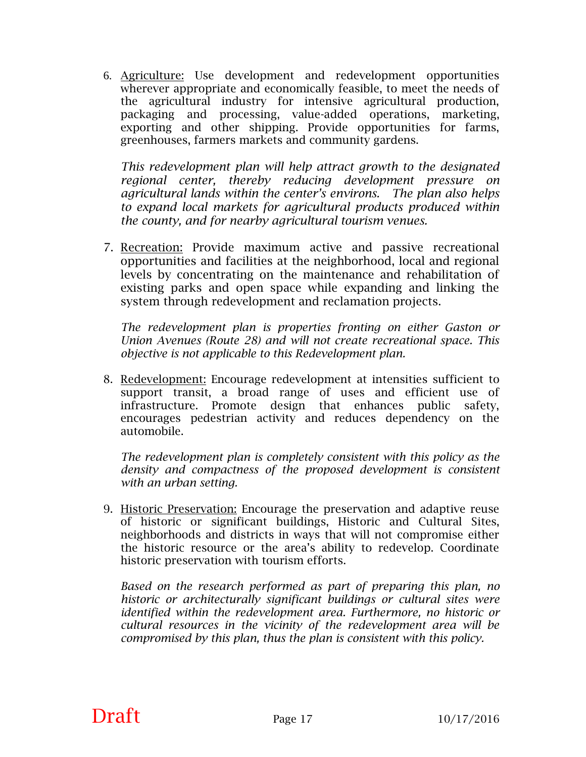6. Agriculture: Use development and redevelopment opportunities wherever appropriate and economically feasible, to meet the needs of the agricultural industry for intensive agricultural production, packaging and processing, value-added operations, marketing, exporting and other shipping. Provide opportunities for farms, greenhouses, farmers markets and community gardens.

*This redevelopment plan will help attract growth to the designated regional center, thereby reducing development pressure on agricultural lands within the center's environs. The plan also helps to expand local markets for agricultural products produced within the county, and for nearby agricultural tourism venues.* 

 7. Recreation: Provide maximum active and passive recreational opportunities and facilities at the neighborhood, local and regional levels by concentrating on the maintenance and rehabilitation of existing parks and open space while expanding and linking the system through redevelopment and reclamation projects.

*The redevelopment plan is properties fronting on either Gaston or Union Avenues (Route 28) and will not create recreational space. This objective is not applicable to this Redevelopment plan.* 

8. Redevelopment: Encourage redevelopment at intensities sufficient to support transit, a broad range of uses and efficient use of infrastructure. Promote design that enhances public safety, encourages pedestrian activity and reduces dependency on the automobile.

*The redevelopment plan is completely consistent with this policy as the density and compactness of the proposed development is consistent with an urban setting.*

9. Historic Preservation: Encourage the preservation and adaptive reuse of historic or significant buildings, Historic and Cultural Sites, neighborhoods and districts in ways that will not compromise either the historic resource or the area's ability to redevelop. Coordinate historic preservation with tourism efforts.

*Based on the research performed as part of preparing this plan, no historic or architecturally significant buildings or cultural sites were identified within the redevelopment area. Furthermore, no historic or cultural resources in the vicinity of the redevelopment area will be compromised by this plan, thus the plan is consistent with this policy.*

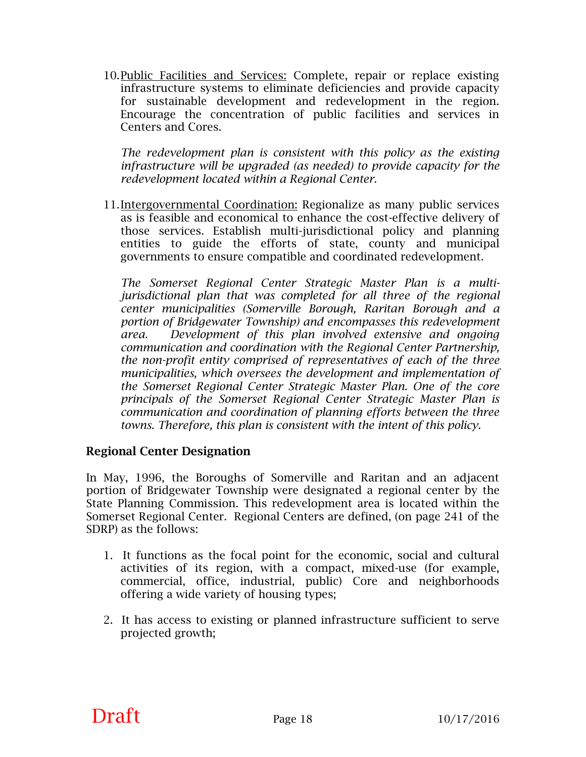10.Public Facilities and Services: Complete, repair or replace existing infrastructure systems to eliminate deficiencies and provide capacity for sustainable development and redevelopment in the region. Encourage the concentration of public facilities and services in Centers and Cores.

*The redevelopment plan is consistent with this policy as the existing infrastructure will be upgraded (as needed) to provide capacity for the redevelopment located within a Regional Center.* 

11.Intergovernmental Coordination: Regionalize as many public services as is feasible and economical to enhance the cost-effective delivery of those services. Establish multi-jurisdictional policy and planning entities to guide the efforts of state, county and municipal governments to ensure compatible and coordinated redevelopment.

*The Somerset Regional Center Strategic Master Plan is a multijurisdictional plan that was completed for all three of the regional center municipalities (Somerville Borough, Raritan Borough and a portion of Bridgewater Township) and encompasses this redevelopment area. Development of this plan involved extensive and ongoing communication and coordination with the Regional Center Partnership, the non-profit entity comprised of representatives of each of the three municipalities, which oversees the development and implementation of the Somerset Regional Center Strategic Master Plan. One of the core principals of the Somerset Regional Center Strategic Master Plan is communication and coordination of planning efforts between the three towns. Therefore, this plan is consistent with the intent of this policy.* 

#### **Regional Center Designation**

In May, 1996, the Boroughs of Somerville and Raritan and an adjacent portion of Bridgewater Township were designated a regional center by the State Planning Commission. This redevelopment area is located within the Somerset Regional Center. Regional Centers are defined, (on page 241 of the SDRP) as the follows:

- 1. It functions as the focal point for the economic, social and cultural activities of its region, with a compact, mixed-use (for example, commercial, office, industrial, public) Core and neighborhoods offering a wide variety of housing types;
- 2. It has access to existing or planned infrastructure sufficient to serve projected growth;

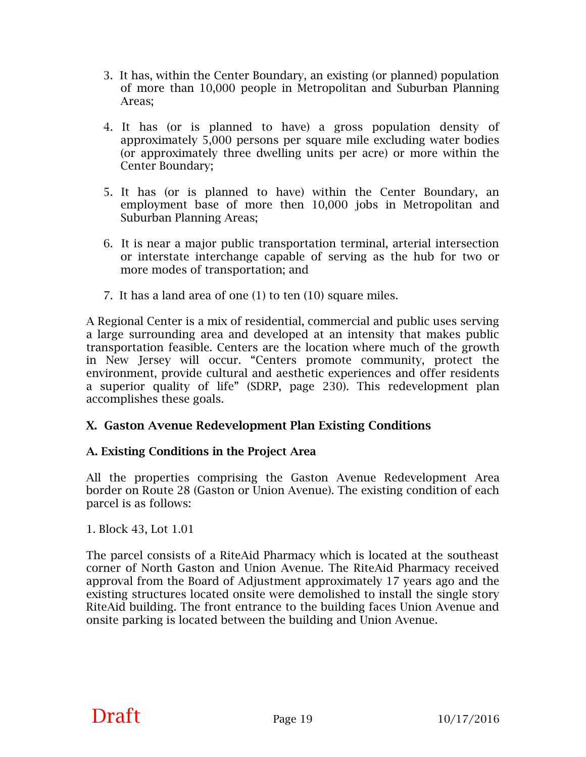- 3. It has, within the Center Boundary, an existing (or planned) population of more than 10,000 people in Metropolitan and Suburban Planning Areas;
- 4. It has (or is planned to have) a gross population density of approximately 5,000 persons per square mile excluding water bodies (or approximately three dwelling units per acre) or more within the Center Boundary;
- 5. It has (or is planned to have) within the Center Boundary, an employment base of more then 10,000 jobs in Metropolitan and Suburban Planning Areas;
- 6. It is near a major public transportation terminal, arterial intersection or interstate interchange capable of serving as the hub for two or more modes of transportation; and
- 7. It has a land area of one (1) to ten (10) square miles.

A Regional Center is a mix of residential, commercial and public uses serving a large surrounding area and developed at an intensity that makes public transportation feasible. Centers are the location where much of the growth in New Jersey will occur. "Centers promote community, protect the environment, provide cultural and aesthetic experiences and offer residents a superior quality of life" (SDRP, page 230). This redevelopment plan accomplishes these goals.

#### **X. Gaston Avenue Redevelopment Plan Existing Conditions**

#### **A. Existing Conditions in the Project Area**

All the properties comprising the Gaston Avenue Redevelopment Area border on Route 28 (Gaston or Union Avenue). The existing condition of each parcel is as follows:

1. Block 43, Lot 1.01

The parcel consists of a RiteAid Pharmacy which is located at the southeast corner of North Gaston and Union Avenue. The RiteAid Pharmacy received approval from the Board of Adjustment approximately 17 years ago and the existing structures located onsite were demolished to install the single story RiteAid building. The front entrance to the building faces Union Avenue and onsite parking is located between the building and Union Avenue.

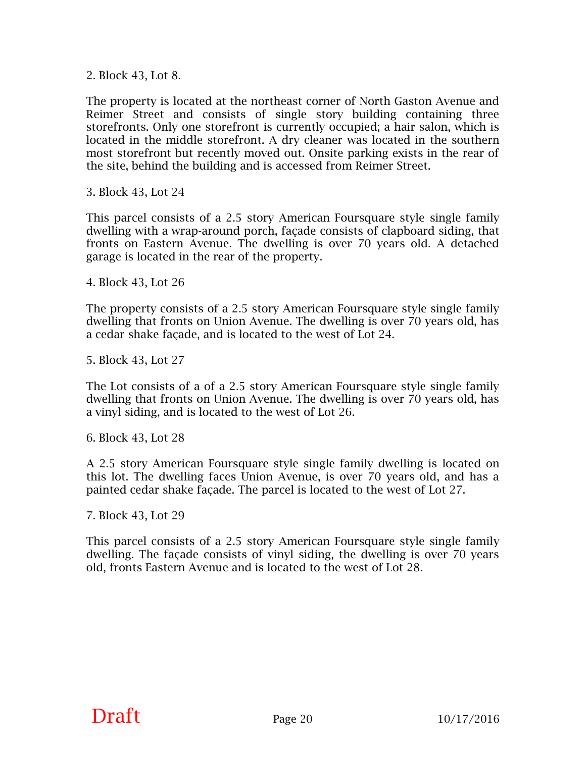2. Block 43, Lot 8.

The property is located at the northeast corner of North Gaston Avenue and Reimer Street and consists of single story building containing three storefronts. Only one storefront is currently occupied; a hair salon, which is located in the middle storefront. A dry cleaner was located in the southern most storefront but recently moved out. Onsite parking exists in the rear of the site, behind the building and is accessed from Reimer Street.

3. Block 43, Lot 24

This parcel consists of a 2.5 story American Foursquare style single family dwelling with a wrap-around porch, façade consists of clapboard siding, that fronts on Eastern Avenue. The dwelling is over 70 years old. A detached garage is located in the rear of the property.

4. Block 43, Lot 26

The property consists of a 2.5 story American Foursquare style single family dwelling that fronts on Union Avenue. The dwelling is over 70 years old, has a cedar shake façade, and is located to the west of Lot 24.

5. Block 43, Lot 27

The Lot consists of a of a 2.5 story American Foursquare style single family dwelling that fronts on Union Avenue. The dwelling is over 70 years old, has a vinyl siding, and is located to the west of Lot 26.

6. Block 43, Lot 28

A 2.5 story American Foursquare style single family dwelling is located on this lot. The dwelling faces Union Avenue, is over 70 years old, and has a painted cedar shake façade. The parcel is located to the west of Lot 27.

7. Block 43, Lot 29

This parcel consists of a 2.5 story American Foursquare style single family dwelling. The façade consists of vinyl siding, the dwelling is over 70 years old, fronts Eastern Avenue and is located to the west of Lot 28.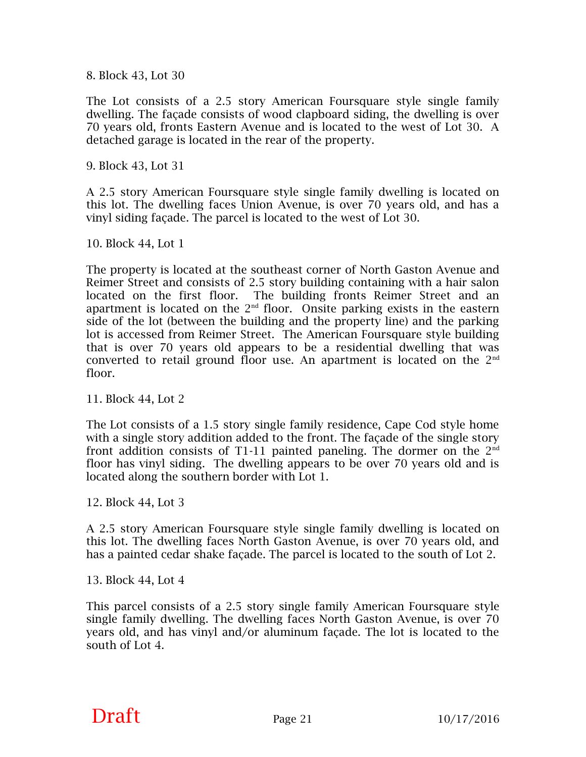8. Block 43, Lot 30

The Lot consists of a 2.5 story American Foursquare style single family dwelling. The façade consists of wood clapboard siding, the dwelling is over 70 years old, fronts Eastern Avenue and is located to the west of Lot 30. A detached garage is located in the rear of the property.

9. Block 43, Lot 31

A 2.5 story American Foursquare style single family dwelling is located on this lot. The dwelling faces Union Avenue, is over 70 years old, and has a vinyl siding façade. The parcel is located to the west of Lot 30.

10. Block 44, Lot 1

The property is located at the southeast corner of North Gaston Avenue and Reimer Street and consists of 2.5 story building containing with a hair salon located on the first floor. The building fronts Reimer Street and an apartment is located on the  $2<sup>nd</sup>$  floor. Onsite parking exists in the eastern side of the lot (between the building and the property line) and the parking lot is accessed from Reimer Street. The American Foursquare style building that is over 70 years old appears to be a residential dwelling that was converted to retail ground floor use. An apartment is located on the  $2<sup>nd</sup>$ floor.

11. Block 44, Lot 2

The Lot consists of a 1.5 story single family residence, Cape Cod style home with a single story addition added to the front. The façade of the single story front addition consists of T1-11 painted paneling. The dormer on the  $2<sup>nd</sup>$ floor has vinyl siding. The dwelling appears to be over 70 years old and is located along the southern border with Lot 1.

12. Block 44, Lot 3

A 2.5 story American Foursquare style single family dwelling is located on this lot. The dwelling faces North Gaston Avenue, is over 70 years old, and has a painted cedar shake façade. The parcel is located to the south of Lot 2.

13. Block 44, Lot 4

This parcel consists of a 2.5 story single family American Foursquare style single family dwelling. The dwelling faces North Gaston Avenue, is over 70 years old, and has vinyl and/or aluminum façade. The lot is located to the south of Lot 4.

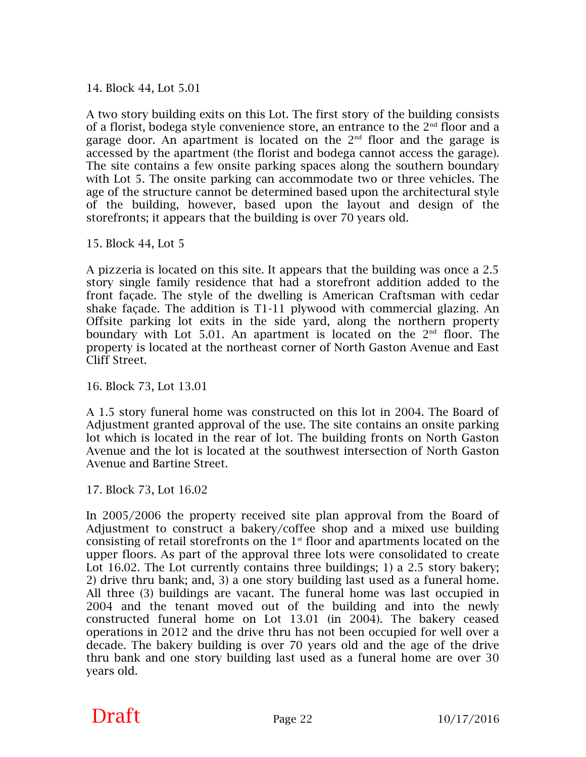14. Block 44, Lot 5.01

A two story building exits on this Lot. The first story of the building consists of a florist, bodega style convenience store, an entrance to the  $2<sup>nd</sup>$  floor and a garage door. An apartment is located on the  $2<sup>nd</sup>$  floor and the garage is accessed by the apartment (the florist and bodega cannot access the garage). The site contains a few onsite parking spaces along the southern boundary with Lot 5. The onsite parking can accommodate two or three vehicles. The age of the structure cannot be determined based upon the architectural style of the building, however, based upon the layout and design of the storefronts; it appears that the building is over 70 years old.

15. Block 44, Lot 5

A pizzeria is located on this site. It appears that the building was once a 2.5 story single family residence that had a storefront addition added to the front façade. The style of the dwelling is American Craftsman with cedar shake façade. The addition is T1-11 plywood with commercial glazing. An Offsite parking lot exits in the side yard, along the northern property boundary with Lot 5.01. An apartment is located on the  $2<sup>nd</sup>$  floor. The property is located at the northeast corner of North Gaston Avenue and East Cliff Street.

16. Block 73, Lot 13.01

A 1.5 story funeral home was constructed on this lot in 2004. The Board of Adjustment granted approval of the use. The site contains an onsite parking lot which is located in the rear of lot. The building fronts on North Gaston Avenue and the lot is located at the southwest intersection of North Gaston Avenue and Bartine Street.

17. Block 73, Lot 16.02

In 2005/2006 the property received site plan approval from the Board of Adjustment to construct a bakery/coffee shop and a mixed use building consisting of retail storefronts on the  $1<sup>st</sup>$  floor and apartments located on the upper floors. As part of the approval three lots were consolidated to create Lot 16.02. The Lot currently contains three buildings; 1) a 2.5 story bakery; 2) drive thru bank; and, 3) a one story building last used as a funeral home. All three (3) buildings are vacant. The funeral home was last occupied in 2004 and the tenant moved out of the building and into the newly constructed funeral home on Lot 13.01 (in 2004). The bakery ceased operations in 2012 and the drive thru has not been occupied for well over a decade. The bakery building is over 70 years old and the age of the drive thru bank and one story building last used as a funeral home are over 30 years old.

### **Draft** Page 22  $10/17/2016$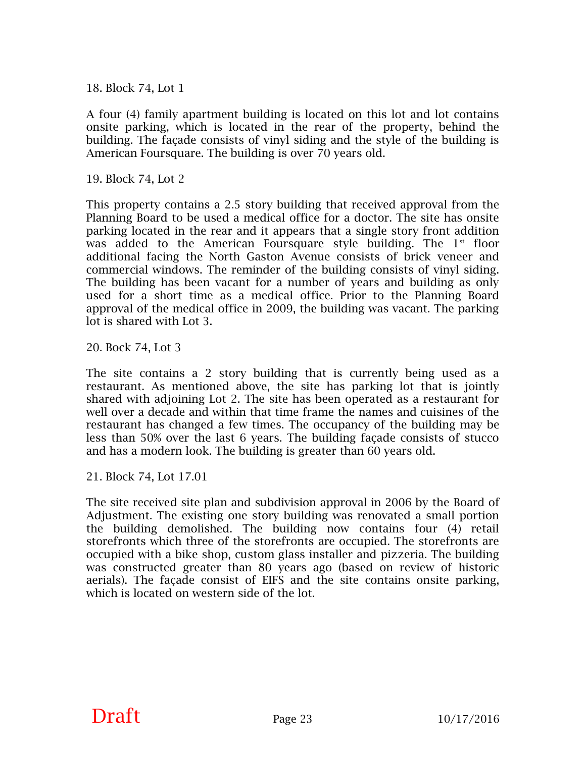18. Block 74, Lot 1

A four (4) family apartment building is located on this lot and lot contains onsite parking, which is located in the rear of the property, behind the building. The façade consists of vinyl siding and the style of the building is American Foursquare. The building is over 70 years old.

19. Block 74, Lot 2

This property contains a 2.5 story building that received approval from the Planning Board to be used a medical office for a doctor. The site has onsite parking located in the rear and it appears that a single story front addition was added to the American Foursquare style building. The  $1<sup>st</sup>$  floor additional facing the North Gaston Avenue consists of brick veneer and commercial windows. The reminder of the building consists of vinyl siding. The building has been vacant for a number of years and building as only used for a short time as a medical office. Prior to the Planning Board approval of the medical office in 2009, the building was vacant. The parking lot is shared with Lot 3.

20. Bock 74, Lot 3

The site contains a 2 story building that is currently being used as a restaurant. As mentioned above, the site has parking lot that is jointly shared with adjoining Lot 2. The site has been operated as a restaurant for well over a decade and within that time frame the names and cuisines of the restaurant has changed a few times. The occupancy of the building may be less than 50% over the last 6 years. The building façade consists of stucco and has a modern look. The building is greater than 60 years old.

21. Block 74, Lot 17.01

The site received site plan and subdivision approval in 2006 by the Board of Adjustment. The existing one story building was renovated a small portion the building demolished. The building now contains four (4) retail storefronts which three of the storefronts are occupied. The storefronts are occupied with a bike shop, custom glass installer and pizzeria. The building was constructed greater than 80 years ago (based on review of historic aerials). The façade consist of EIFS and the site contains onsite parking, which is located on western side of the lot.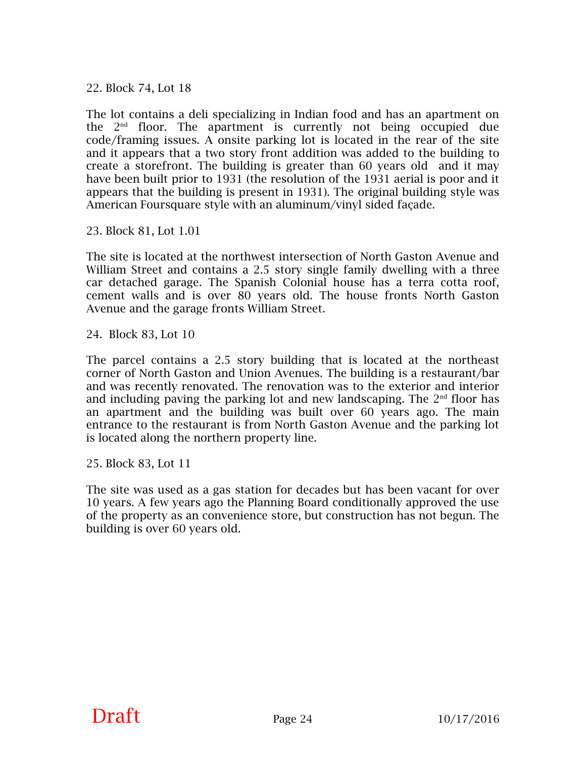22. Block 74, Lot 18

The lot contains a deli specializing in Indian food and has an apartment on the  $2<sup>nd</sup>$  floor. The apartment is currently not being occupied due code/framing issues. A onsite parking lot is located in the rear of the site and it appears that a two story front addition was added to the building to create a storefront. The building is greater than 60 years old and it may have been built prior to 1931 (the resolution of the 1931 aerial is poor and it appears that the building is present in 1931). The original building style was American Foursquare style with an aluminum/vinyl sided façade.

23. Block 81, Lot 1.01

The site is located at the northwest intersection of North Gaston Avenue and William Street and contains a 2.5 story single family dwelling with a three car detached garage. The Spanish Colonial house has a terra cotta roof, cement walls and is over 80 years old. The house fronts North Gaston Avenue and the garage fronts William Street.

24. Block 83, Lot 10

The parcel contains a 2.5 story building that is located at the northeast corner of North Gaston and Union Avenues. The building is a restaurant/bar and was recently renovated. The renovation was to the exterior and interior and including paving the parking lot and new landscaping. The  $2<sup>nd</sup>$  floor has an apartment and the building was built over 60 years ago. The main entrance to the restaurant is from North Gaston Avenue and the parking lot is located along the northern property line.

25. Block 83, Lot 11

The site was used as a gas station for decades but has been vacant for over 10 years. A few years ago the Planning Board conditionally approved the use of the property as an convenience store, but construction has not begun. The building is over 60 years old.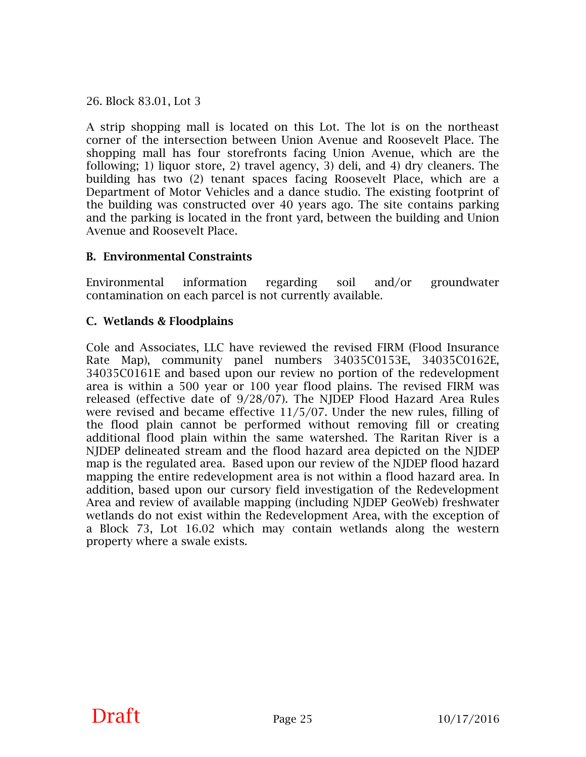26. Block 83.01, Lot 3

A strip shopping mall is located on this Lot. The lot is on the northeast corner of the intersection between Union Avenue and Roosevelt Place. The shopping mall has four storefronts facing Union Avenue, which are the following; 1) liquor store, 2) travel agency, 3) deli, and 4) dry cleaners. The building has two (2) tenant spaces facing Roosevelt Place, which are a Department of Motor Vehicles and a dance studio. The existing footprint of the building was constructed over 40 years ago. The site contains parking and the parking is located in the front yard, between the building and Union Avenue and Roosevelt Place.

#### **B. Environmental Constraints**

Environmental information regarding soil and/or groundwater contamination on each parcel is not currently available.

#### **C. Wetlands & Floodplains**

Cole and Associates, LLC have reviewed the revised FIRM (Flood Insurance Rate Map), community panel numbers 34035C0153E, 34035C0162E, 34035C0161E and based upon our review no portion of the redevelopment area is within a 500 year or 100 year flood plains. The revised FIRM was released (effective date of 9/28/07). The NJDEP Flood Hazard Area Rules were revised and became effective 11/5/07. Under the new rules, filling of the flood plain cannot be performed without removing fill or creating additional flood plain within the same watershed. The Raritan River is a NJDEP delineated stream and the flood hazard area depicted on the NJDEP map is the regulated area. Based upon our review of the NJDEP flood hazard mapping the entire redevelopment area is not within a flood hazard area. In addition, based upon our cursory field investigation of the Redevelopment Area and review of available mapping (including NJDEP GeoWeb) freshwater wetlands do not exist within the Redevelopment Area, with the exception of a Block 73, Lot 16.02 which may contain wetlands along the western property where a swale exists.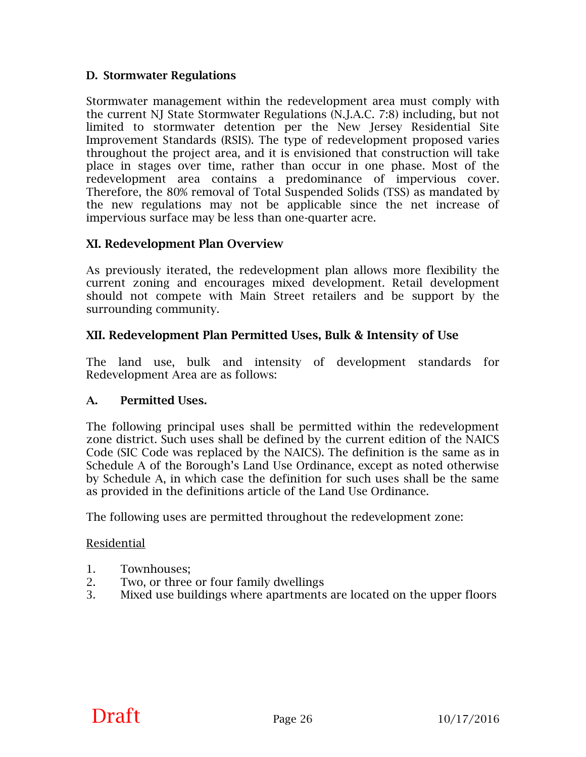#### **D. Stormwater Regulations**

Stormwater management within the redevelopment area must comply with the current NJ State Stormwater Regulations (N.J.A.C. 7:8) including, but not limited to stormwater detention per the New Jersey Residential Site Improvement Standards (RSIS). The type of redevelopment proposed varies throughout the project area, and it is envisioned that construction will take place in stages over time, rather than occur in one phase. Most of the redevelopment area contains a predominance of impervious cover. Therefore, the 80% removal of Total Suspended Solids (TSS) as mandated by the new regulations may not be applicable since the net increase of impervious surface may be less than one-quarter acre.

#### **XI. Redevelopment Plan Overview**

As previously iterated, the redevelopment plan allows more flexibility the current zoning and encourages mixed development. Retail development should not compete with Main Street retailers and be support by the surrounding community.

#### **XII. Redevelopment Plan Permitted Uses, Bulk & Intensity of Use**

The land use, bulk and intensity of development standards for Redevelopment Area are as follows:

#### **A. Permitted Uses.**

The following principal uses shall be permitted within the redevelopment zone district. Such uses shall be defined by the current edition of the NAICS Code (SIC Code was replaced by the NAICS). The definition is the same as in Schedule A of the Borough's Land Use Ordinance, except as noted otherwise by Schedule A, in which case the definition for such uses shall be the same as provided in the definitions article of the Land Use Ordinance.

The following uses are permitted throughout the redevelopment zone:

#### Residential

- 1. Townhouses;
- 2. Two, or three or four family dwellings
- 3. Mixed use buildings where apartments are located on the upper floors

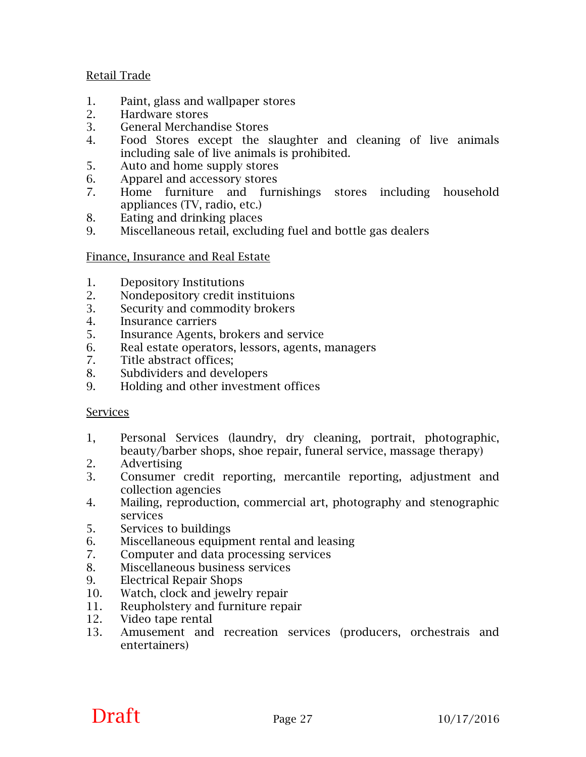#### Retail Trade

- 1. Paint, glass and wallpaper stores
- 2. Hardware stores
- 3. General Merchandise Stores
- 4. Food Stores except the slaughter and cleaning of live animals including sale of live animals is prohibited.
- 5. Auto and home supply stores
- 6. Apparel and accessory stores
- 7. Home furniture and furnishings stores including household appliances (TV, radio, etc.)
- 8. Eating and drinking places
- 9. Miscellaneous retail, excluding fuel and bottle gas dealers

#### Finance, Insurance and Real Estate

- 1. Depository Institutions
- 2. Nondepository credit instituions
- 3. Security and commodity brokers
- 4. Insurance carriers
- 5. Insurance Agents, brokers and service
- 6. Real estate operators, lessors, agents, managers
- 7. Title abstract offices;
- 8. Subdividers and developers
- 9. Holding and other investment offices

#### Services

- 1, Personal Services (laundry, dry cleaning, portrait, photographic, beauty/barber shops, shoe repair, funeral service, massage therapy)
- 2. Advertising
- 3. Consumer credit reporting, mercantile reporting, adjustment and collection agencies
- 4. Mailing, reproduction, commercial art, photography and stenographic services
- 5. Services to buildings
- 6. Miscellaneous equipment rental and leasing
- 7. Computer and data processing services
- 8. Miscellaneous business services
- 9. Electrical Repair Shops
- 10. Watch, clock and jewelry repair
- 11. Reupholstery and furniture repair
- 12. Video tape rental
- 13. Amusement and recreation services (producers, orchestrais and entertainers)

### **Draft** Page 27  $10/17/2016$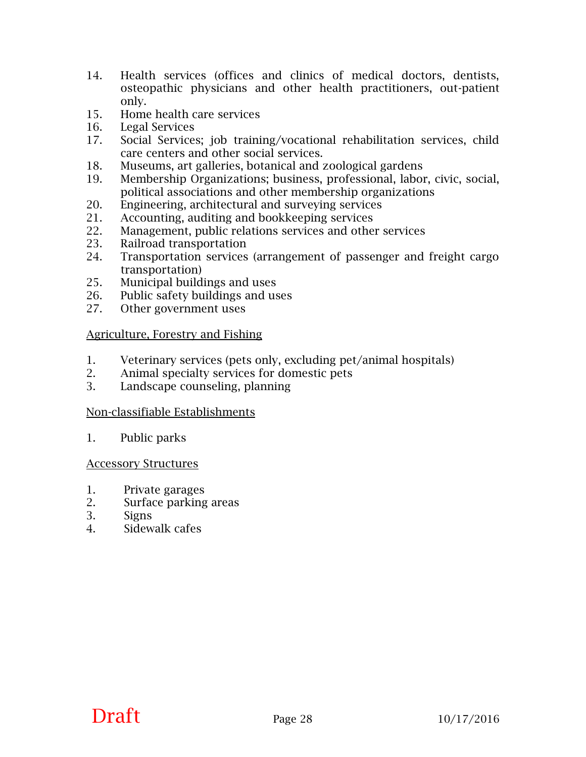- 14. Health services (offices and clinics of medical doctors, dentists, osteopathic physicians and other health practitioners, out-patient only.
- 15. Home health care services
- 16. Legal Services
- 17. Social Services; job training/vocational rehabilitation services, child care centers and other social services.
- 18. Museums, art galleries, botanical and zoological gardens
- 19. Membership Organizations; business, professional, labor, civic, social, political associations and other membership organizations
- 20. Engineering, architectural and surveying services
- 21. Accounting, auditing and bookkeeping services
- 22. Management, public relations services and other services
- 23. Railroad transportation
- 24. Transportation services (arrangement of passenger and freight cargo transportation)
- 25. Municipal buildings and uses
- 26. Public safety buildings and uses
- 27. Other government uses

#### Agriculture, Forestry and Fishing

- 1. Veterinary services (pets only, excluding pet/animal hospitals)
- 2. Animal specialty services for domestic pets
- 3. Landscape counseling, planning

#### Non-classifiable Establishments

1. Public parks

#### Accessory Structures

- 1. Private garages
- 2. Surface parking areas
- 3. Signs
- 4. Sidewalk cafes

# **Draft** Page 28  $10/17/2016$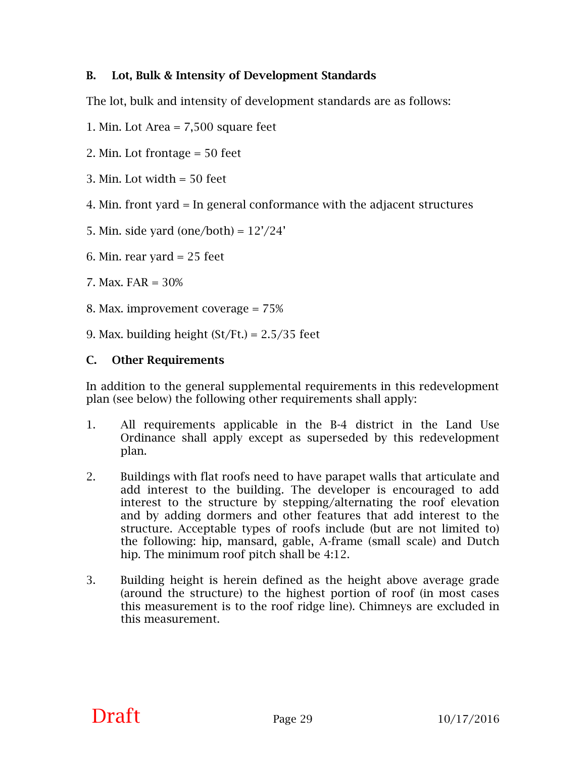#### **B. Lot, Bulk & Intensity of Development Standards**

The lot, bulk and intensity of development standards are as follows:

1. Min. Lot Area = 7,500 square feet

2. Min. Lot frontage = 50 feet

- 3. Min. Lot width = 50 feet
- 4. Min. front yard = In general conformance with the adjacent structures

5. Min. side yard (one/both) =  $12'/24'$ 

6. Min. rear yard  $= 25$  feet

- 7. Max. FAR = 30%
- 8. Max. improvement coverage = 75%

9. Max. building height  $St/Ft$ . = 2.5/35 feet

#### **C. Other Requirements**

In addition to the general supplemental requirements in this redevelopment plan (see below) the following other requirements shall apply:

- 1. All requirements applicable in the B-4 district in the Land Use Ordinance shall apply except as superseded by this redevelopment plan.
- 2. Buildings with flat roofs need to have parapet walls that articulate and add interest to the building. The developer is encouraged to add interest to the structure by stepping/alternating the roof elevation and by adding dormers and other features that add interest to the structure. Acceptable types of roofs include (but are not limited to) the following: hip, mansard, gable, A-frame (small scale) and Dutch hip. The minimum roof pitch shall be 4:12.
- 3. Building height is herein defined as the height above average grade (around the structure) to the highest portion of roof (in most cases this measurement is to the roof ridge line). Chimneys are excluded in this measurement.

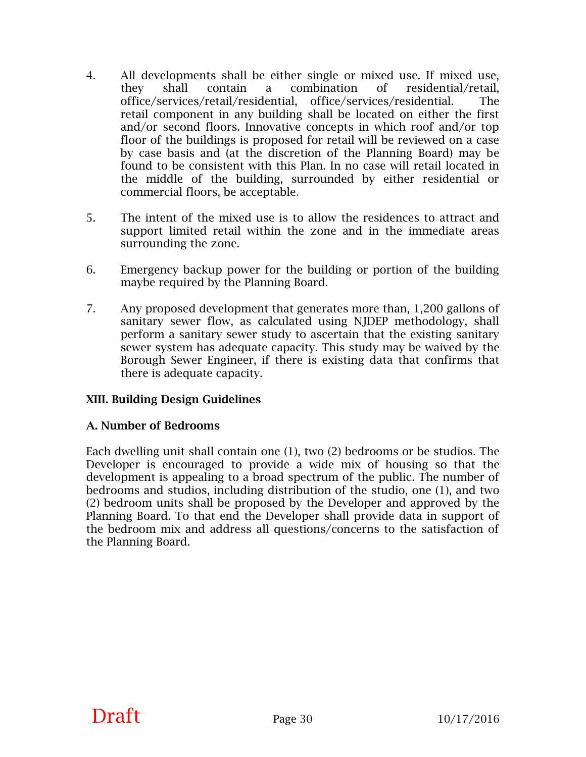- 4. All developments shall be either single or mixed use. If mixed use, they shall contain a combination of residential/retail, office/services/retail/residential, office/services/residential. The retail component in any building shall be located on either the first and/or second floors. Innovative concepts in which roof and/or top floor of the buildings is proposed for retail will be reviewed on a case by case basis and (at the discretion of the Planning Board) may be found to be consistent with this Plan. In no case will retail located in the middle of the building, surrounded by either residential or commercial floors, be acceptable.
- 5. The intent of the mixed use is to allow the residences to attract and support limited retail within the zone and in the immediate areas surrounding the zone.
- 6. Emergency backup power for the building or portion of the building maybe required by the Planning Board.
- 7. Any proposed development that generates more than, 1,200 gallons of sanitary sewer flow, as calculated using NJDEP methodology, shall perform a sanitary sewer study to ascertain that the existing sanitary sewer system has adequate capacity. This study may be waived by the Borough Sewer Engineer, if there is existing data that confirms that there is adequate capacity.

#### **XIII. Building Design Guidelines**

#### **A. Number of Bedrooms**

Each dwelling unit shall contain one (1), two (2) bedrooms or be studios. The Developer is encouraged to provide a wide mix of housing so that the development is appealing to a broad spectrum of the public. The number of bedrooms and studios, including distribution of the studio, one (1), and two (2) bedroom units shall be proposed by the Developer and approved by the Planning Board. To that end the Developer shall provide data in support of the bedroom mix and address all questions/concerns to the satisfaction of the Planning Board.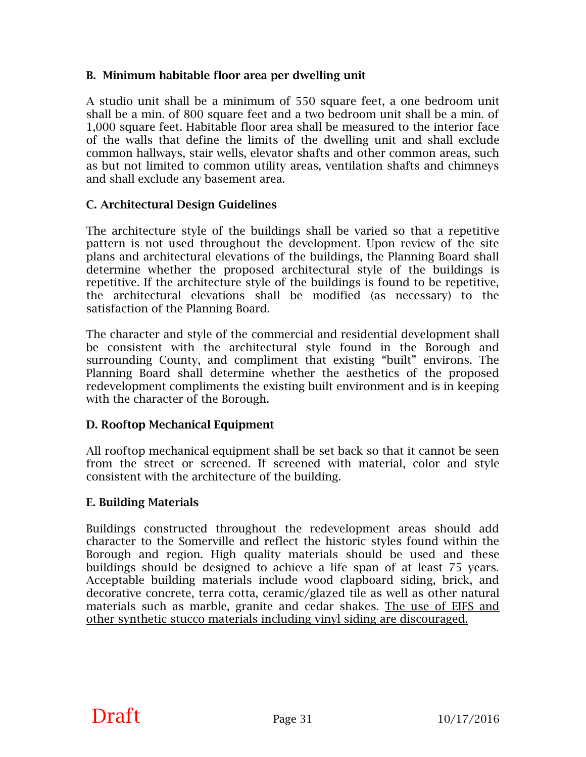#### **B. Minimum habitable floor area per dwelling unit**

A studio unit shall be a minimum of 550 square feet, a one bedroom unit shall be a min. of 800 square feet and a two bedroom unit shall be a min. of 1,000 square feet. Habitable floor area shall be measured to the interior face of the walls that define the limits of the dwelling unit and shall exclude common hallways, stair wells, elevator shafts and other common areas, such as but not limited to common utility areas, ventilation shafts and chimneys and shall exclude any basement area.

#### **C. Architectural Design Guidelines**

The architecture style of the buildings shall be varied so that a repetitive pattern is not used throughout the development. Upon review of the site plans and architectural elevations of the buildings, the Planning Board shall determine whether the proposed architectural style of the buildings is repetitive. If the architecture style of the buildings is found to be repetitive, the architectural elevations shall be modified (as necessary) to the satisfaction of the Planning Board.

The character and style of the commercial and residential development shall be consistent with the architectural style found in the Borough and surrounding County, and compliment that existing "built" environs. The Planning Board shall determine whether the aesthetics of the proposed redevelopment compliments the existing built environment and is in keeping with the character of the Borough.

#### **D. Rooftop Mechanical Equipment**

All rooftop mechanical equipment shall be set back so that it cannot be seen from the street or screened. If screened with material, color and style consistent with the architecture of the building.

#### **E. Building Materials**

Buildings constructed throughout the redevelopment areas should add character to the Somerville and reflect the historic styles found within the Borough and region. High quality materials should be used and these buildings should be designed to achieve a life span of at least 75 years. Acceptable building materials include wood clapboard siding, brick, and decorative concrete, terra cotta, ceramic/glazed tile as well as other natural materials such as marble, granite and cedar shakes. The use of EIFS and other synthetic stucco materials including vinyl siding are discouraged.

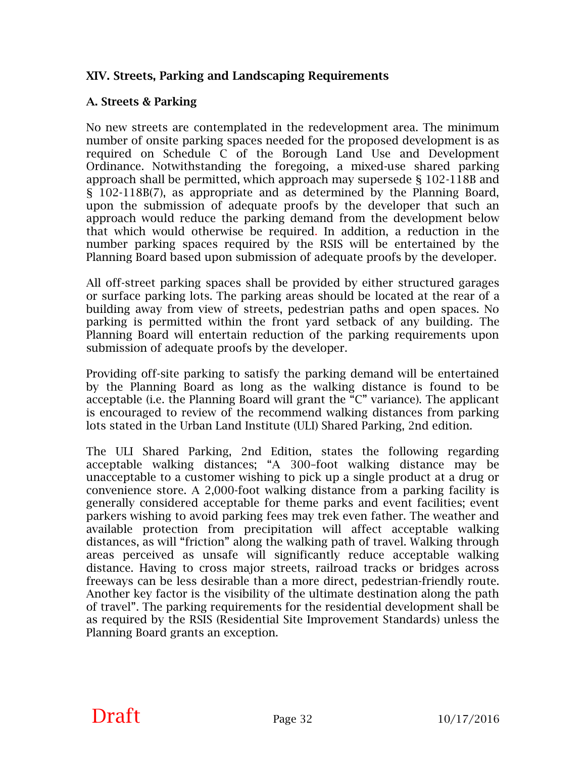#### **XIV. Streets, Parking and Landscaping Requirements**

#### **A. Streets & Parking**

No new streets are contemplated in the redevelopment area. The minimum number of onsite parking spaces needed for the proposed development is as required on Schedule C of the Borough Land Use and Development Ordinance. Notwithstanding the foregoing, a mixed-use shared parking approach shall be permitted, which approach may supersede § 102-118B and § 102-118B(7), as appropriate and as determined by the Planning Board, upon the submission of adequate proofs by the developer that such an approach would reduce the parking demand from the development below that which would otherwise be required. In addition, a reduction in the number parking spaces required by the RSIS will be entertained by the Planning Board based upon submission of adequate proofs by the developer.

All off-street parking spaces shall be provided by either structured garages or surface parking lots. The parking areas should be located at the rear of a building away from view of streets, pedestrian paths and open spaces. No parking is permitted within the front yard setback of any building. The Planning Board will entertain reduction of the parking requirements upon submission of adequate proofs by the developer.

Providing off-site parking to satisfy the parking demand will be entertained by the Planning Board as long as the walking distance is found to be acceptable (i.e. the Planning Board will grant the "C" variance). The applicant is encouraged to review of the recommend walking distances from parking lots stated in the Urban Land Institute (ULI) Shared Parking, 2nd edition.

The ULI Shared Parking, 2nd Edition, states the following regarding acceptable walking distances; "A 300–foot walking distance may be unacceptable to a customer wishing to pick up a single product at a drug or convenience store. A 2,000-foot walking distance from a parking facility is generally considered acceptable for theme parks and event facilities; event parkers wishing to avoid parking fees may trek even father. The weather and available protection from precipitation will affect acceptable walking distances, as will "friction" along the walking path of travel. Walking through areas perceived as unsafe will significantly reduce acceptable walking distance. Having to cross major streets, railroad tracks or bridges across freeways can be less desirable than a more direct, pedestrian-friendly route. Another key factor is the visibility of the ultimate destination along the path of travel". The parking requirements for the residential development shall be as required by the RSIS (Residential Site Improvement Standards) unless the Planning Board grants an exception.

# **Draft** Page 32  $10/17/2016$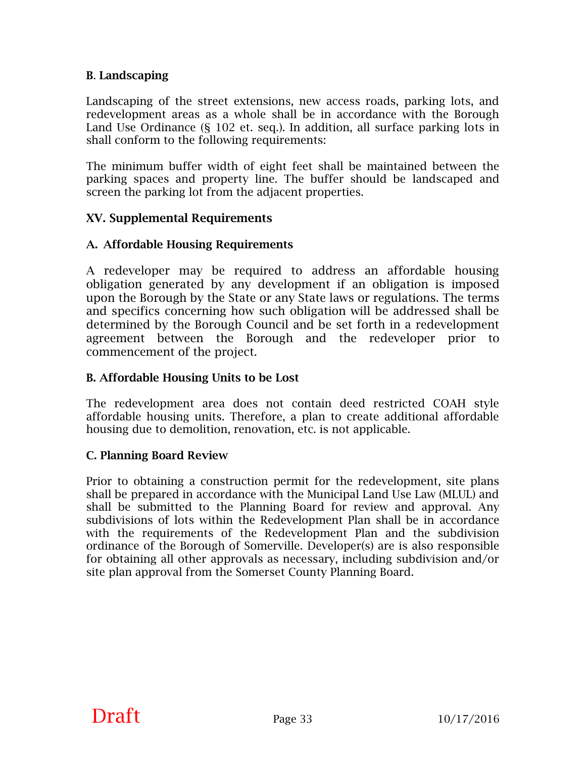#### **B**. **Landscaping**

Landscaping of the street extensions, new access roads, parking lots, and redevelopment areas as a whole shall be in accordance with the Borough Land Use Ordinance (§ 102 et. seq.). In addition, all surface parking lots in shall conform to the following requirements:

The minimum buffer width of eight feet shall be maintained between the parking spaces and property line. The buffer should be landscaped and screen the parking lot from the adjacent properties.

#### **XV. Supplemental Requirements**

#### **A. Affordable Housing Requirements**

A redeveloper may be required to address an affordable housing obligation generated by any development if an obligation is imposed upon the Borough by the State or any State laws or regulations. The terms and specifics concerning how such obligation will be addressed shall be determined by the Borough Council and be set forth in a redevelopment agreement between the Borough and the redeveloper prior to commencement of the project.

#### **B. Affordable Housing Units to be Lost**

The redevelopment area does not contain deed restricted COAH style affordable housing units. Therefore, a plan to create additional affordable housing due to demolition, renovation, etc. is not applicable.

#### **C. Planning Board Review**

Prior to obtaining a construction permit for the redevelopment, site plans shall be prepared in accordance with the Municipal Land Use Law (MLUL) and shall be submitted to the Planning Board for review and approval. Any subdivisions of lots within the Redevelopment Plan shall be in accordance with the requirements of the Redevelopment Plan and the subdivision ordinance of the Borough of Somerville. Developer(s) are is also responsible for obtaining all other approvals as necessary, including subdivision and/or site plan approval from the Somerset County Planning Board.

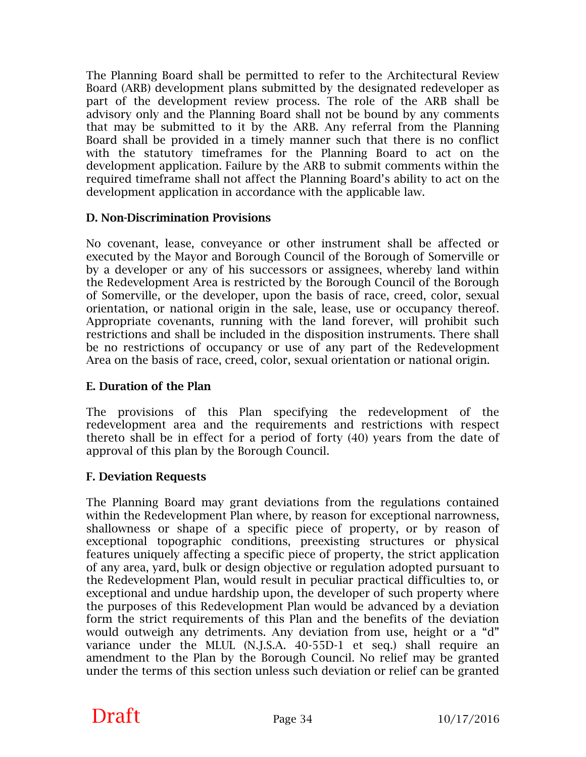The Planning Board shall be permitted to refer to the Architectural Review Board (ARB) development plans submitted by the designated redeveloper as part of the development review process. The role of the ARB shall be advisory only and the Planning Board shall not be bound by any comments that may be submitted to it by the ARB. Any referral from the Planning Board shall be provided in a timely manner such that there is no conflict with the statutory timeframes for the Planning Board to act on the development application. Failure by the ARB to submit comments within the required timeframe shall not affect the Planning Board's ability to act on the development application in accordance with the applicable law.

#### **D. Non-Discrimination Provisions**

No covenant, lease, conveyance or other instrument shall be affected or executed by the Mayor and Borough Council of the Borough of Somerville or by a developer or any of his successors or assignees, whereby land within the Redevelopment Area is restricted by the Borough Council of the Borough of Somerville, or the developer, upon the basis of race, creed, color, sexual orientation, or national origin in the sale, lease, use or occupancy thereof. Appropriate covenants, running with the land forever, will prohibit such restrictions and shall be included in the disposition instruments. There shall be no restrictions of occupancy or use of any part of the Redevelopment Area on the basis of race, creed, color, sexual orientation or national origin.

#### **E. Duration of the Plan**

The provisions of this Plan specifying the redevelopment of the redevelopment area and the requirements and restrictions with respect thereto shall be in effect for a period of forty (40) years from the date of approval of this plan by the Borough Council.

#### **F. Deviation Requests**

The Planning Board may grant deviations from the regulations contained within the Redevelopment Plan where, by reason for exceptional narrowness, shallowness or shape of a specific piece of property, or by reason of exceptional topographic conditions, preexisting structures or physical features uniquely affecting a specific piece of property, the strict application of any area, yard, bulk or design objective or regulation adopted pursuant to the Redevelopment Plan, would result in peculiar practical difficulties to, or exceptional and undue hardship upon, the developer of such property where the purposes of this Redevelopment Plan would be advanced by a deviation form the strict requirements of this Plan and the benefits of the deviation would outweigh any detriments. Any deviation from use, height or a "d" variance under the MLUL (N.J.S.A. 40-55D-1 et seq.) shall require an amendment to the Plan by the Borough Council. No relief may be granted under the terms of this section unless such deviation or relief can be granted

# **Draft** Page 34  $10/17/2016$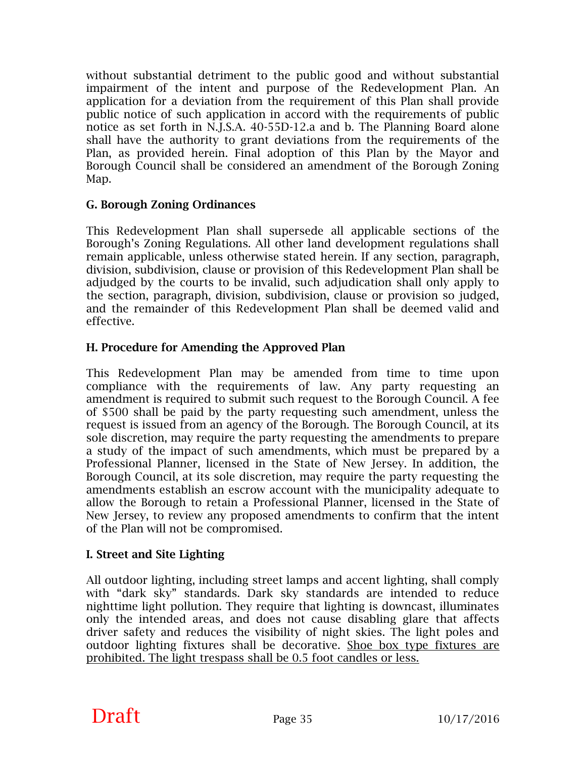without substantial detriment to the public good and without substantial impairment of the intent and purpose of the Redevelopment Plan. An application for a deviation from the requirement of this Plan shall provide public notice of such application in accord with the requirements of public notice as set forth in N.J.S.A. 40-55D-12.a and b. The Planning Board alone shall have the authority to grant deviations from the requirements of the Plan, as provided herein. Final adoption of this Plan by the Mayor and Borough Council shall be considered an amendment of the Borough Zoning Map.

#### **G. Borough Zoning Ordinances**

This Redevelopment Plan shall supersede all applicable sections of the Borough's Zoning Regulations. All other land development regulations shall remain applicable, unless otherwise stated herein. If any section, paragraph, division, subdivision, clause or provision of this Redevelopment Plan shall be adjudged by the courts to be invalid, such adjudication shall only apply to the section, paragraph, division, subdivision, clause or provision so judged, and the remainder of this Redevelopment Plan shall be deemed valid and effective.

#### **H. Procedure for Amending the Approved Plan**

This Redevelopment Plan may be amended from time to time upon compliance with the requirements of law. Any party requesting an amendment is required to submit such request to the Borough Council. A fee of \$500 shall be paid by the party requesting such amendment, unless the request is issued from an agency of the Borough. The Borough Council, at its sole discretion, may require the party requesting the amendments to prepare a study of the impact of such amendments, which must be prepared by a Professional Planner, licensed in the State of New Jersey. In addition, the Borough Council, at its sole discretion, may require the party requesting the amendments establish an escrow account with the municipality adequate to allow the Borough to retain a Professional Planner, licensed in the State of New Jersey, to review any proposed amendments to confirm that the intent of the Plan will not be compromised.

#### **I. Street and Site Lighting**

All outdoor lighting, including street lamps and accent lighting, shall comply with "dark sky" standards. Dark sky standards are intended to reduce nighttime light pollution. They require that lighting is downcast, illuminates only the intended areas, and does not cause disabling glare that affects driver safety and reduces the visibility of night skies. The light poles and outdoor lighting fixtures shall be decorative. Shoe box type fixtures are prohibited. The light trespass shall be 0.5 foot candles or less.

# **Draft** Page 35  $10/17/2016$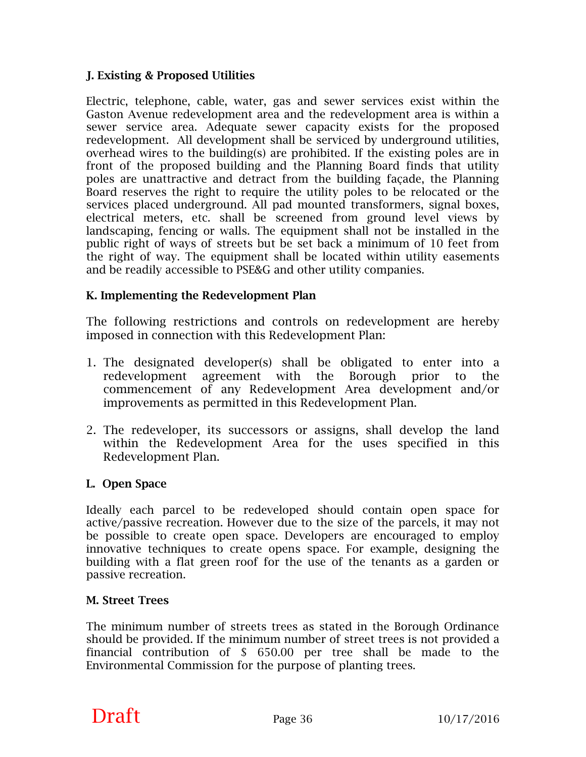#### **J. Existing & Proposed Utilities**

Electric, telephone, cable, water, gas and sewer services exist within the Gaston Avenue redevelopment area and the redevelopment area is within a sewer service area. Adequate sewer capacity exists for the proposed redevelopment. All development shall be serviced by underground utilities, overhead wires to the building(s) are prohibited. If the existing poles are in front of the proposed building and the Planning Board finds that utility poles are unattractive and detract from the building façade, the Planning Board reserves the right to require the utility poles to be relocated or the services placed underground. All pad mounted transformers, signal boxes, electrical meters, etc. shall be screened from ground level views by landscaping, fencing or walls. The equipment shall not be installed in the public right of ways of streets but be set back a minimum of 10 feet from the right of way. The equipment shall be located within utility easements and be readily accessible to PSE&G and other utility companies.

#### **K. Implementing the Redevelopment Plan**

The following restrictions and controls on redevelopment are hereby imposed in connection with this Redevelopment Plan:

- 1. The designated developer(s) shall be obligated to enter into a redevelopment agreement with the Borough prior to the commencement of any Redevelopment Area development and/or improvements as permitted in this Redevelopment Plan.
- 2. The redeveloper, its successors or assigns, shall develop the land within the Redevelopment Area for the uses specified in this Redevelopment Plan.

#### **L. Open Space**

Ideally each parcel to be redeveloped should contain open space for active/passive recreation. However due to the size of the parcels, it may not be possible to create open space. Developers are encouraged to employ innovative techniques to create opens space. For example, designing the building with a flat green roof for the use of the tenants as a garden or passive recreation.

#### **M. Street Trees**

The minimum number of streets trees as stated in the Borough Ordinance should be provided. If the minimum number of street trees is not provided a financial contribution of \$ 650.00 per tree shall be made to the Environmental Commission for the purpose of planting trees.

# **Draft** Page 36  $10/17/2016$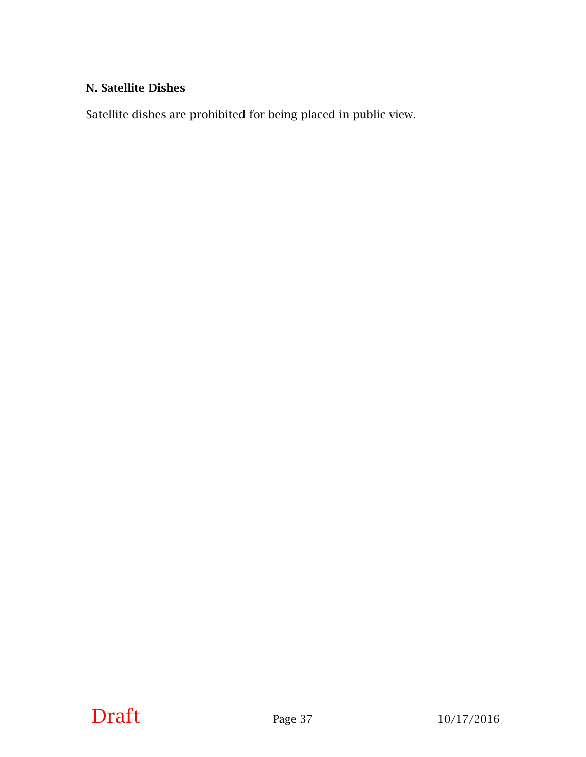#### **N. Satellite Dishes**

Satellite dishes are prohibited for being placed in public view.

# **Draft** Page 37 10/17/2016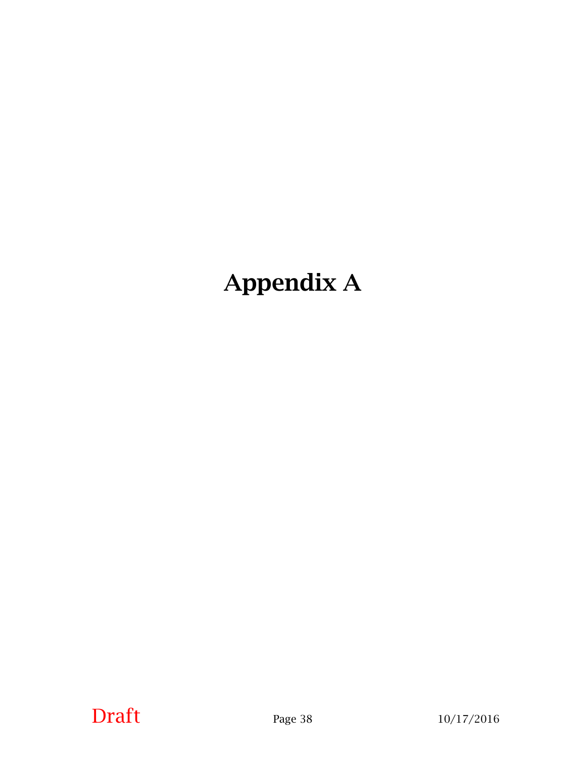# **Appendix A**